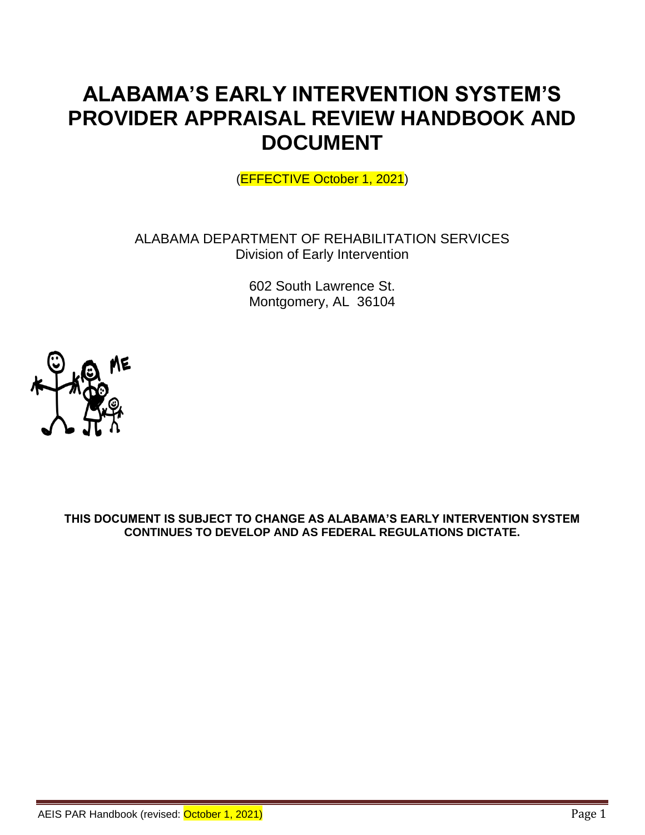# **ALABAMA'S EARLY INTERVENTION SYSTEM'S PROVIDER APPRAISAL REVIEW HANDBOOK AND DOCUMENT**

(EFFECTIVE October 1, 2021)

ALABAMA DEPARTMENT OF REHABILITATION SERVICES Division of Early Intervention

> 602 South Lawrence St. Montgomery, AL 36104



**THIS DOCUMENT IS SUBJECT TO CHANGE AS ALABAMA'S EARLY INTERVENTION SYSTEM CONTINUES TO DEVELOP AND AS FEDERAL REGULATIONS DICTATE.**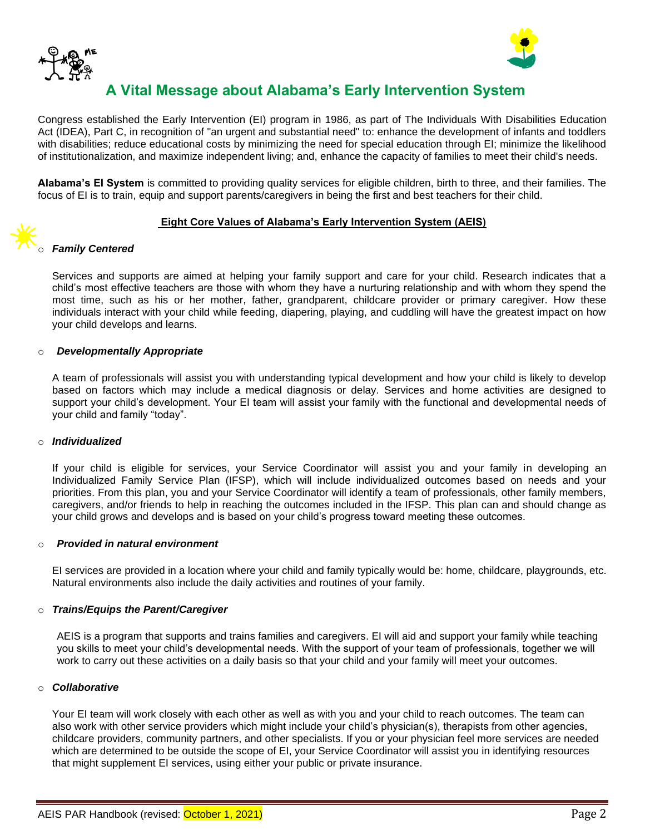



# **A Vital Message about Alabama's Early Intervention System**

Congress established the Early Intervention (EI) program in 1986, as part of The Individuals With Disabilities Education Act (IDEA), Part C, in recognition of "an urgent and substantial need" to: enhance the development of infants and toddlers with disabilities; reduce educational costs by minimizing the need for special education through EI; minimize the likelihood of institutionalization, and maximize independent living; and, enhance the capacity of families to meet their child's needs.

**Alabama's EI System** is committed to providing quality services for eligible children, birth to three, and their families. The focus of EI is to train, equip and support parents/caregivers in being the first and best teachers for their child.

#### **Eight Core Values of Alabama's Early Intervention System (AEIS)**

#### o *Family Centered*

Services and supports are aimed at helping your family support and care for your child. Research indicates that a child's most effective teachers are those with whom they have a nurturing relationship and with whom they spend the most time, such as his or her mother, father, grandparent, childcare provider or primary caregiver. How these individuals interact with your child while feeding, diapering, playing, and cuddling will have the greatest impact on how your child develops and learns.

#### o *Developmentally Appropriate*

A team of professionals will assist you with understanding typical development and how your child is likely to develop based on factors which may include a medical diagnosis or delay. Services and home activities are designed to support your child's development. Your EI team will assist your family with the functional and developmental needs of your child and family "today".

#### o *Individualized*

If your child is eligible for services, your Service Coordinator will assist you and your family in developing an Individualized Family Service Plan (IFSP), which will include individualized outcomes based on needs and your priorities. From this plan, you and your Service Coordinator will identify a team of professionals, other family members, caregivers, and/or friends to help in reaching the outcomes included in the IFSP. This plan can and should change as your child grows and develops and is based on your child's progress toward meeting these outcomes.

#### o *Provided in natural environment*

EI services are provided in a location where your child and family typically would be: home, childcare, playgrounds, etc. Natural environments also include the daily activities and routines of your family.

#### o *Trains/Equips the Parent/Caregiver*

AEIS is a program that supports and trains families and caregivers. EI will aid and support your family while teaching you skills to meet your child's developmental needs. With the support of your team of professionals, together we will work to carry out these activities on a daily basis so that your child and your family will meet your outcomes.

#### o *Collaborative*

Your EI team will work closely with each other as well as with you and your child to reach outcomes. The team can also work with other service providers which might include your child's physician(s), therapists from other agencies, childcare providers, community partners, and other specialists. If you or your physician feel more services are needed which are determined to be outside the scope of EI, your Service Coordinator will assist you in identifying resources that might supplement EI services, using either your public or private insurance.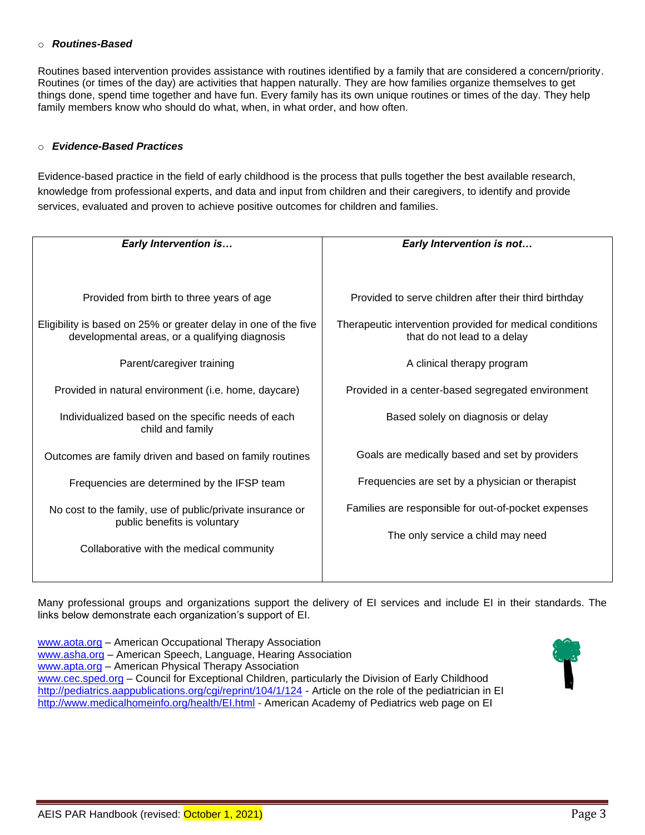#### o *Routines-Based*

Routines based intervention provides assistance with routines identified by a family that are considered a concern/priority. Routines (or times of the day) are activities that happen naturally. They are how families organize themselves to get things done, spend time together and have fun. Every family has its own unique routines or times of the day. They help family members know who should do what, when, in what order, and how often.

#### o *Evidence-Based Practices*

Evidence-based practice in the field of early childhood is the process that pulls together the best available research, knowledge from professional experts, and data and input from children and their caregivers, to identify and provide services, evaluated and proven to achieve positive outcomes for children and families.

| <b>Early Intervention is</b>                                                                                      | Early Intervention is not                                                               |
|-------------------------------------------------------------------------------------------------------------------|-----------------------------------------------------------------------------------------|
|                                                                                                                   |                                                                                         |
| Provided from birth to three years of age                                                                         | Provided to serve children after their third birthday                                   |
| Eligibility is based on 25% or greater delay in one of the five<br>developmental areas, or a qualifying diagnosis | Therapeutic intervention provided for medical conditions<br>that do not lead to a delay |
| Parent/caregiver training                                                                                         | A clinical therapy program                                                              |
| Provided in natural environment (i.e. home, daycare)                                                              | Provided in a center-based segregated environment                                       |
| Individualized based on the specific needs of each<br>child and family                                            | Based solely on diagnosis or delay                                                      |
| Outcomes are family driven and based on family routines                                                           | Goals are medically based and set by providers                                          |
| Frequencies are determined by the IFSP team                                                                       | Frequencies are set by a physician or therapist                                         |
| No cost to the family, use of public/private insurance or<br>public benefits is voluntary                         | Families are responsible for out-of-pocket expenses                                     |
| Collaborative with the medical community                                                                          | The only service a child may need                                                       |

Many professional groups and organizations support the delivery of EI services and include EI in their standards. The links below demonstrate each organization's support of EI.

[www.aota.org](http://www.aota.org/) – American Occupational Therapy Association [www.asha.org](http://www.asha.org/) – American Speech, Language, Hearing Association [www.apta.org](http://www.apta.org/) – American Physical Therapy Association [www.cec.sped.org](http://www.cec.sped.org/) – Council for Exceptional Children, particularly the Division of Early Childhood <http://pediatrics.aappublications.org/cgi/reprint/104/1/124> - Article on the role of the pediatrician in EI <http://www.medicalhomeinfo.org/health/EI.html> - American Academy of Pediatrics web page on EI

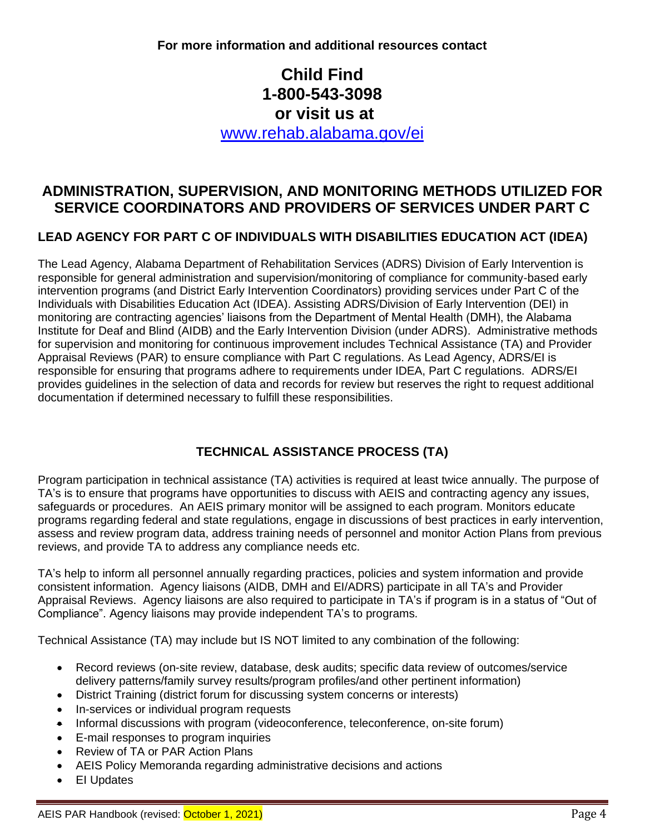**For more information and additional resources contact** 

# **Child Find 1-800-543-3098 or visit us at**

[www.rehab.alabama.gov/ei](http://www.rehab.alabama.gov/ei)

# **ADMINISTRATION, SUPERVISION, AND MONITORING METHODS UTILIZED FOR SERVICE COORDINATORS AND PROVIDERS OF SERVICES UNDER PART C**

### **LEAD AGENCY FOR PART C OF INDIVIDUALS WITH DISABILITIES EDUCATION ACT (IDEA)**

The Lead Agency, Alabama Department of Rehabilitation Services (ADRS) Division of Early Intervention is responsible for general administration and supervision/monitoring of compliance for community-based early intervention programs (and District Early Intervention Coordinators) providing services under Part C of the Individuals with Disabilities Education Act (IDEA). Assisting ADRS/Division of Early Intervention (DEI) in monitoring are contracting agencies' liaisons from the Department of Mental Health (DMH), the Alabama Institute for Deaf and Blind (AIDB) and the Early Intervention Division (under ADRS). Administrative methods for supervision and monitoring for continuous improvement includes Technical Assistance (TA) and Provider Appraisal Reviews (PAR) to ensure compliance with Part C regulations. As Lead Agency, ADRS/EI is responsible for ensuring that programs adhere to requirements under IDEA, Part C regulations. ADRS/EI provides guidelines in the selection of data and records for review but reserves the right to request additional documentation if determined necessary to fulfill these responsibilities.

# **TECHNICAL ASSISTANCE PROCESS (TA)**

Program participation in technical assistance (TA) activities is required at least twice annually. The purpose of TA's is to ensure that programs have opportunities to discuss with AEIS and contracting agency any issues, safeguards or procedures.An AEIS primary monitor will be assigned to each program. Monitors educate programs regarding federal and state regulations, engage in discussions of best practices in early intervention, assess and review program data, address training needs of personnel and monitor Action Plans from previous reviews, and provide TA to address any compliance needs etc.

TA's help to inform all personnel annually regarding practices, policies and system information and provide consistent information. Agency liaisons (AIDB, DMH and EI/ADRS) participate in all TA's and Provider Appraisal Reviews. Agency liaisons are also required to participate in TA's if program is in a status of "Out of Compliance". Agency liaisons may provide independent TA's to programs.

Technical Assistance (TA) may include but IS NOT limited to any combination of the following:

- Record reviews (on-site review, database, desk audits; specific data review of outcomes/service delivery patterns/family survey results/program profiles/and other pertinent information)
- District Training (district forum for discussing system concerns or interests)
- In-services or individual program requests
- Informal discussions with program (videoconference, teleconference, on-site forum)
- E-mail responses to program inquiries
- Review of TA or PAR Action Plans
- AEIS Policy Memoranda regarding administrative decisions and actions
- EI Updates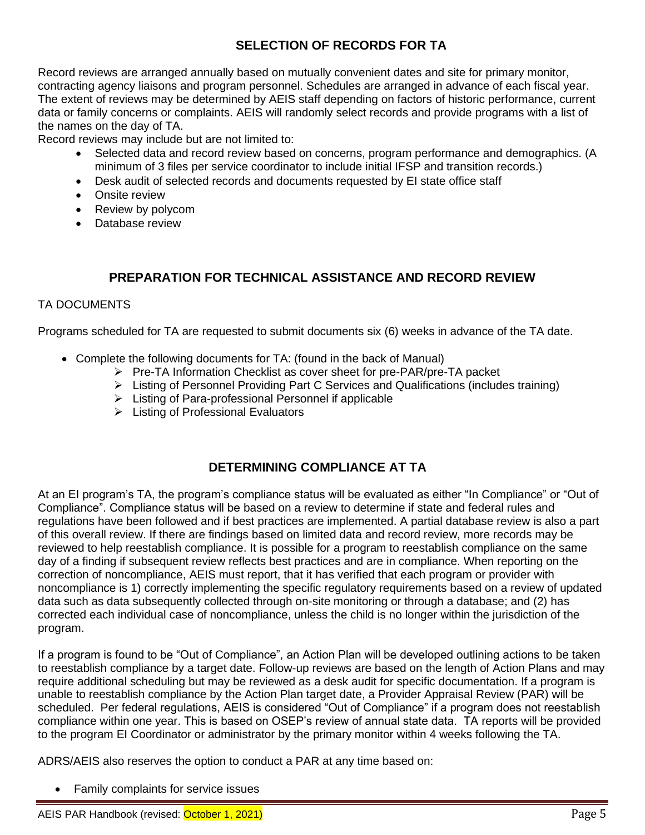# **SELECTION OF RECORDS FOR TA**

Record reviews are arranged annually based on mutually convenient dates and site for primary monitor, contracting agency liaisons and program personnel. Schedules are arranged in advance of each fiscal year. The extent of reviews may be determined by AEIS staff depending on factors of historic performance, current data or family concerns or complaints. AEIS will randomly select records and provide programs with a list of the names on the day of TA.

Record reviews may include but are not limited to:

- Selected data and record review based on concerns, program performance and demographics. (A minimum of 3 files per service coordinator to include initial IFSP and transition records.)
- Desk audit of selected records and documents requested by EI state office staff
- Onsite review
- Review by polycom
- Database review

# **PREPARATION FOR TECHNICAL ASSISTANCE AND RECORD REVIEW**

### TA DOCUMENTS

Programs scheduled for TA are requested to submit documents six (6) weeks in advance of the TA date.

- Complete the following documents for TA: (found in the back of Manual)
	- ➢ Pre-TA Information Checklist as cover sheet for pre-PAR/pre-TA packet
	- ➢ Listing of Personnel Providing Part C Services and Qualifications (includes training)
	- ➢ Listing of Para-professional Personnel if applicable
	- ➢ Listing of Professional Evaluators

# **DETERMINING COMPLIANCE AT TA**

At an EI program's TA, the program's compliance status will be evaluated as either "In Compliance" or "Out of Compliance". Compliance status will be based on a review to determine if state and federal rules and regulations have been followed and if best practices are implemented. A partial database review is also a part of this overall review. If there are findings based on limited data and record review, more records may be reviewed to help reestablish compliance. It is possible for a program to reestablish compliance on the same day of a finding if subsequent review reflects best practices and are in compliance. When reporting on the correction of noncompliance, AEIS must report, that it has verified that each program or provider with noncompliance is 1) correctly implementing the specific regulatory requirements based on a review of updated data such as data subsequently collected through on-site monitoring or through a database; and (2) has corrected each individual case of noncompliance, unless the child is no longer within the jurisdiction of the program.

If a program is found to be "Out of Compliance", an Action Plan will be developed outlining actions to be taken to reestablish compliance by a target date. Follow-up reviews are based on the length of Action Plans and may require additional scheduling but may be reviewed as a desk audit for specific documentation. If a program is unable to reestablish compliance by the Action Plan target date, a Provider Appraisal Review (PAR) will be scheduled. Per federal regulations, AEIS is considered "Out of Compliance" if a program does not reestablish compliance within one year. This is based on OSEP's review of annual state data. TA reports will be provided to the program EI Coordinator or administrator by the primary monitor within 4 weeks following the TA.

ADRS/AEIS also reserves the option to conduct a PAR at any time based on:

• Family complaints for service issues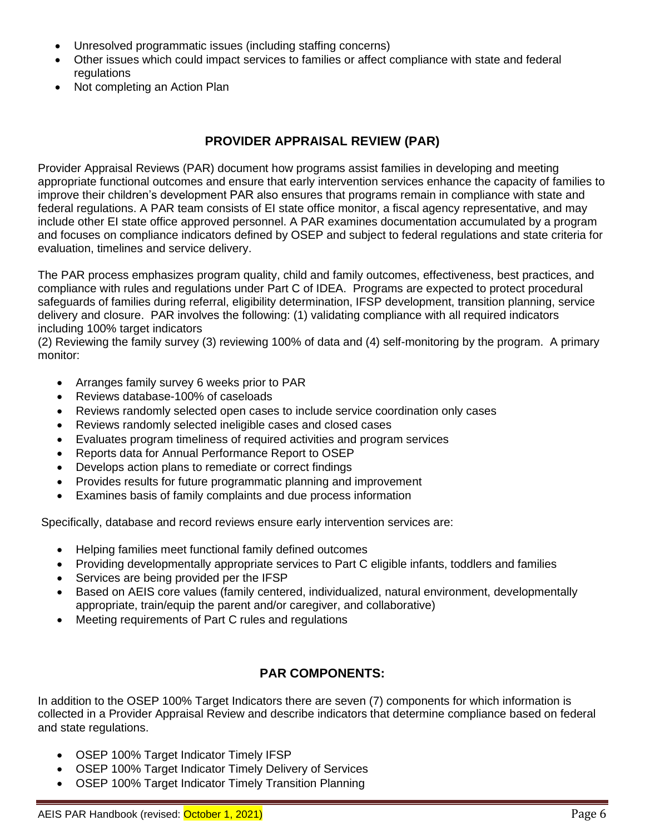- Unresolved programmatic issues (including staffing concerns)
- Other issues which could impact services to families or affect compliance with state and federal regulations
- Not completing an Action Plan

# **PROVIDER APPRAISAL REVIEW (PAR)**

Provider Appraisal Reviews (PAR) document how programs assist families in developing and meeting appropriate functional outcomes and ensure that early intervention services enhance the capacity of families to improve their children's development PAR also ensures that programs remain in compliance with state and federal regulations. A PAR team consists of EI state office monitor, a fiscal agency representative, and may include other EI state office approved personnel. A PAR examines documentation accumulated by a program and focuses on compliance indicators defined by OSEP and subject to federal regulations and state criteria for evaluation, timelines and service delivery.

The PAR process emphasizes program quality, child and family outcomes, effectiveness, best practices, and compliance with rules and regulations under Part C of IDEA. Programs are expected to protect procedural safeguards of families during referral, eligibility determination, IFSP development, transition planning, service delivery and closure. PAR involves the following: (1) validating compliance with all required indicators including 100% target indicators

(2) Reviewing the family survey (3) reviewing 100% of data and (4) self-monitoring by the program. A primary monitor:

- Arranges family survey 6 weeks prior to PAR
- Reviews database-100% of caseloads
- Reviews randomly selected open cases to include service coordination only cases
- Reviews randomly selected ineligible cases and closed cases
- Evaluates program timeliness of required activities and program services
- Reports data for Annual Performance Report to OSEP
- Develops action plans to remediate or correct findings
- Provides results for future programmatic planning and improvement
- Examines basis of family complaints and due process information

Specifically, database and record reviews ensure early intervention services are:

- Helping families meet functional family defined outcomes
- Providing developmentally appropriate services to Part C eligible infants, toddlers and families
- Services are being provided per the IFSP
- Based on AEIS core values (family centered, individualized, natural environment, developmentally appropriate, train/equip the parent and/or caregiver, and collaborative)
- Meeting requirements of Part C rules and regulations

# **PAR COMPONENTS:**

In addition to the OSEP 100% Target Indicators there are seven (7) components for which information is collected in a Provider Appraisal Review and describe indicators that determine compliance based on federal and state regulations.

- OSEP 100% Target Indicator Timely IFSP
- OSEP 100% Target Indicator Timely Delivery of Services
- OSEP 100% Target Indicator Timely Transition Planning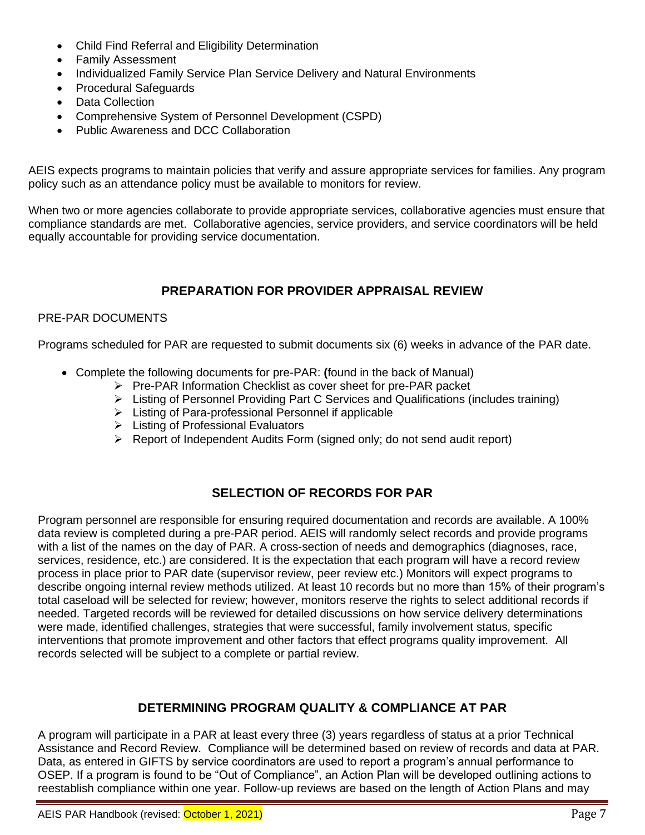- Child Find Referral and Eligibility Determination
- Family Assessment
- Individualized Family Service Plan Service Delivery and Natural Environments
- Procedural Safeguards
- Data Collection
- Comprehensive System of Personnel Development (CSPD)
- Public Awareness and DCC Collaboration

AEIS expects programs to maintain policies that verify and assure appropriate services for families. Any program policy such as an attendance policy must be available to monitors for review.

When two or more agencies collaborate to provide appropriate services, collaborative agencies must ensure that compliance standards are met. Collaborative agencies, service providers, and service coordinators will be held equally accountable for providing service documentation.

# **PREPARATION FOR PROVIDER APPRAISAL REVIEW**

### PRE-PAR DOCUMENTS

Programs scheduled for PAR are requested to submit documents six (6) weeks in advance of the PAR date.

- Complete the following documents for pre-PAR: **(**found in the back of Manual)
	- ➢ Pre-PAR Information Checklist as cover sheet for pre-PAR packet
	- ➢ Listing of Personnel Providing Part C Services and Qualifications (includes training)
	- ➢ Listing of Para-professional Personnel if applicable
	- ➢ Listing of Professional Evaluators
	- ➢ Report of Independent Audits Form (signed only; do not send audit report)

# **SELECTION OF RECORDS FOR PAR**

Program personnel are responsible for ensuring required documentation and records are available. A 100% data review is completed during a pre-PAR period. AEIS will randomly select records and provide programs with a list of the names on the day of PAR. A cross-section of needs and demographics (diagnoses, race, services, residence, etc.) are considered. It is the expectation that each program will have a record review process in place prior to PAR date (supervisor review, peer review etc.) Monitors will expect programs to describe ongoing internal review methods utilized. At least 10 records but no more than 15% of their program's total caseload will be selected for review; however, monitors reserve the rights to select additional records if needed. Targeted records will be reviewed for detailed discussions on how service delivery determinations were made, identified challenges, strategies that were successful, family involvement status, specific interventions that promote improvement and other factors that effect programs quality improvement. All records selected will be subject to a complete or partial review.

# **DETERMINING PROGRAM QUALITY & COMPLIANCE AT PAR**

A program will participate in a PAR at least every three (3) years regardless of status at a prior Technical Assistance and Record Review. Compliance will be determined based on review of records and data at PAR. Data, as entered in GIFTS by service coordinators are used to report a program's annual performance to OSEP. If a program is found to be "Out of Compliance", an Action Plan will be developed outlining actions to reestablish compliance within one year. Follow-up reviews are based on the length of Action Plans and may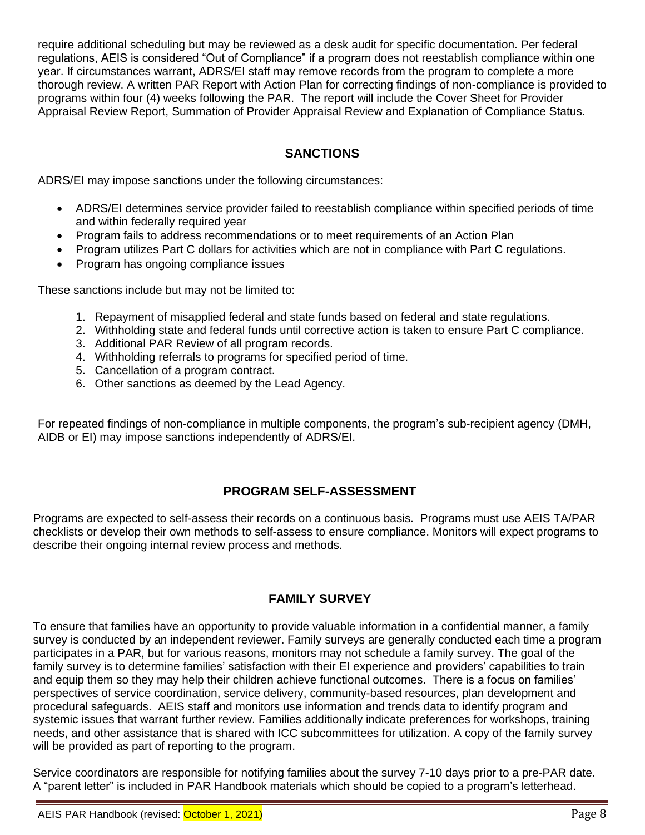require additional scheduling but may be reviewed as a desk audit for specific documentation. Per federal regulations, AEIS is considered "Out of Compliance" if a program does not reestablish compliance within one year. If circumstances warrant, ADRS/EI staff may remove records from the program to complete a more thorough review. A written PAR Report with Action Plan for correcting findings of non-compliance is provided to programs within four (4) weeks following the PAR. The report will include the Cover Sheet for Provider Appraisal Review Report, Summation of Provider Appraisal Review and Explanation of Compliance Status.

### **SANCTIONS**

ADRS/EI may impose sanctions under the following circumstances:

- ADRS/EI determines service provider failed to reestablish compliance within specified periods of time and within federally required year
- Program fails to address recommendations or to meet requirements of an Action Plan
- Program utilizes Part C dollars for activities which are not in compliance with Part C regulations.
- Program has ongoing compliance issues

These sanctions include but may not be limited to:

- 1. Repayment of misapplied federal and state funds based on federal and state regulations.
- 2. Withholding state and federal funds until corrective action is taken to ensure Part C compliance.
- 3. Additional PAR Review of all program records.
- 4. Withholding referrals to programs for specified period of time.
- 5. Cancellation of a program contract.
- 6. Other sanctions as deemed by the Lead Agency.

For repeated findings of non-compliance in multiple components, the program's sub-recipient agency (DMH, AIDB or EI) may impose sanctions independently of ADRS/EI.

### **PROGRAM SELF-ASSESSMENT**

Programs are expected to self-assess their records on a continuous basis. Programs must use AEIS TA/PAR checklists or develop their own methods to self-assess to ensure compliance. Monitors will expect programs to describe their ongoing internal review process and methods.

### **FAMILY SURVEY**

To ensure that families have an opportunity to provide valuable information in a confidential manner, a family survey is conducted by an independent reviewer. Family surveys are generally conducted each time a program participates in a PAR, but for various reasons, monitors may not schedule a family survey. The goal of the family survey is to determine families' satisfaction with their EI experience and providers' capabilities to train and equip them so they may help their children achieve functional outcomes. There is a focus on families' perspectives of service coordination, service delivery, community-based resources, plan development and procedural safeguards. AEIS staff and monitors use information and trends data to identify program and systemic issues that warrant further review. Families additionally indicate preferences for workshops, training needs, and other assistance that is shared with ICC subcommittees for utilization. A copy of the family survey will be provided as part of reporting to the program.

Service coordinators are responsible for notifying families about the survey 7-10 days prior to a pre-PAR date. A "parent letter" is included in PAR Handbook materials which should be copied to a program's letterhead.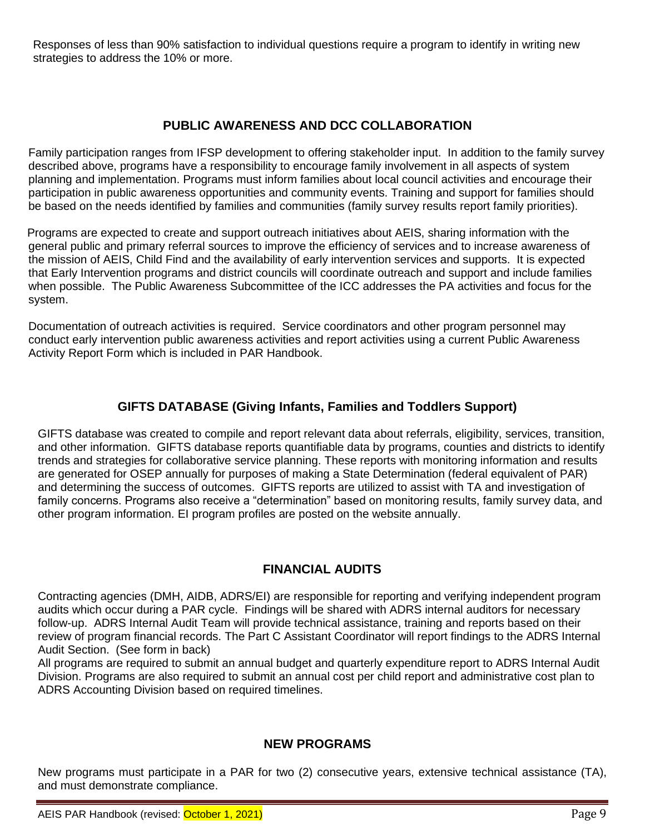Responses of less than 90% satisfaction to individual questions require a program to identify in writing new strategies to address the 10% or more.

### **PUBLIC AWARENESS AND DCC COLLABORATION**

Family participation ranges from IFSP development to offering stakeholder input. In addition to the family survey described above, programs have a responsibility to encourage family involvement in all aspects of system planning and implementation. Programs must inform families about local council activities and encourage their participation in public awareness opportunities and community events. Training and support for families should be based on the needs identified by families and communities (family survey results report family priorities).

 Programs are expected to create and support outreach initiatives about AEIS, sharing information with the general public and primary referral sources to improve the efficiency of services and to increase awareness of the mission of AEIS, Child Find and the availability of early intervention services and supports. It is expected that Early Intervention programs and district councils will coordinate outreach and support and include families when possible. The Public Awareness Subcommittee of the ICC addresses the PA activities and focus for the system.

Documentation of outreach activities is required. Service coordinators and other program personnel may conduct early intervention public awareness activities and report activities using a current Public Awareness Activity Report Form which is included in PAR Handbook.

### **GIFTS DATABASE (Giving Infants, Families and Toddlers Support)**

GIFTS database was created to compile and report relevant data about referrals, eligibility, services, transition, and other information. GIFTS database reports quantifiable data by programs, counties and districts to identify trends and strategies for collaborative service planning. These reports with monitoring information and results are generated for OSEP annually for purposes of making a State Determination (federal equivalent of PAR) and determining the success of outcomes. GIFTS reports are utilized to assist with TA and investigation of family concerns. Programs also receive a "determination" based on monitoring results, family survey data, and other program information. EI program profiles are posted on the website annually.

### **FINANCIAL AUDITS**

Contracting agencies (DMH, AIDB, ADRS/EI) are responsible for reporting and verifying independent program audits which occur during a PAR cycle. Findings will be shared with ADRS internal auditors for necessary follow-up. ADRS Internal Audit Team will provide technical assistance, training and reports based on their review of program financial records. The Part C Assistant Coordinator will report findings to the ADRS Internal Audit Section. (See form in back)

All programs are required to submit an annual budget and quarterly expenditure report to ADRS Internal Audit Division. Programs are also required to submit an annual cost per child report and administrative cost plan to ADRS Accounting Division based on required timelines.

### **NEW PROGRAMS**

New programs must participate in a PAR for two (2) consecutive years, extensive technical assistance (TA), and must demonstrate compliance.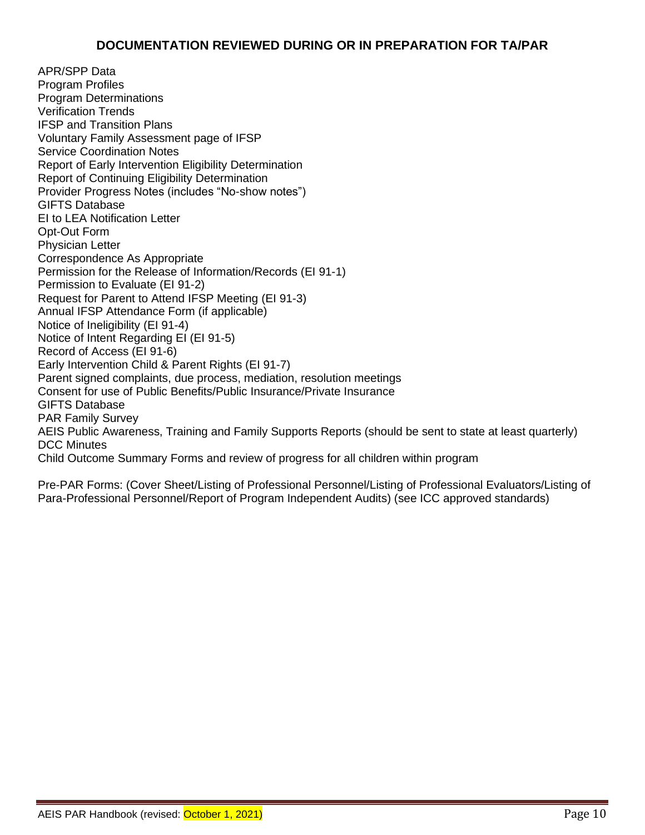APR/SPP Data Program Profiles Program Determinations Verification Trends IFSP and Transition Plans Voluntary Family Assessment page of IFSP Service Coordination Notes Report of Early Intervention Eligibility Determination Report of Continuing Eligibility Determination Provider Progress Notes (includes "No-show notes") GIFTS Database EI to LEA Notification Letter Opt-Out Form Physician Letter Correspondence As Appropriate Permission for the Release of Information/Records (EI 91-1) Permission to Evaluate (EI 91-2) Request for Parent to Attend IFSP Meeting (EI 91-3) Annual IFSP Attendance Form (if applicable) Notice of Ineligibility (EI 91-4) Notice of Intent Regarding EI (EI 91-5) Record of Access (EI 91-6) Early Intervention Child & Parent Rights (EI 91-7) Parent signed complaints, due process, mediation, resolution meetings Consent for use of Public Benefits/Public Insurance/Private Insurance GIFTS Database PAR Family Survey AEIS Public Awareness, Training and Family Supports Reports (should be sent to state at least quarterly) DCC Minutes Child Outcome Summary Forms and review of progress for all children within program

Pre-PAR Forms: (Cover Sheet/Listing of Professional Personnel/Listing of Professional Evaluators/Listing of Para-Professional Personnel/Report of Program Independent Audits) (see ICC approved standards)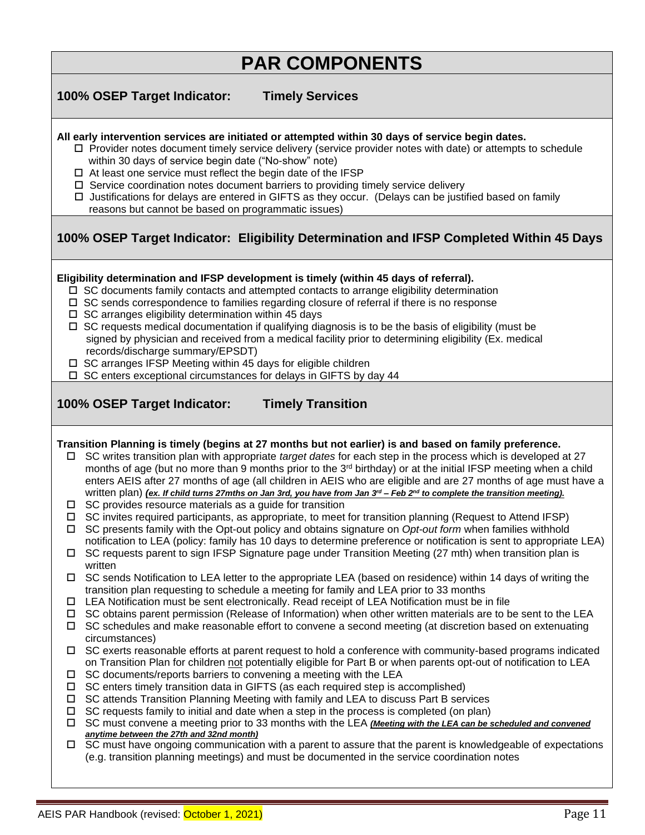**100% OSEP Target Indicator: Timely Services**

| All early intervention services are initiated or attempted within 30 days of service begin dates.<br>$\Box$ Provider notes document timely service delivery (service provider notes with date) or attempts to schedule<br>within 30 days of service begin date ("No-show" note)<br>$\Box$ At least one service must reflect the begin date of the IFSP<br>$\Box$ Service coordination notes document barriers to providing timely service delivery<br>□ Justifications for delays are entered in GIFTS as they occur. (Delays can be justified based on family<br>reasons but cannot be based on programmatic issues)<br>100% OSEP Target Indicator: Eligibility Determination and IFSP Completed Within 45 Days                                                                                                                                                                                                                                                                                                                                                                                                                                                                                                                                                                                                                                                                                                                                                                                                                                                                                                                                                                                                                                                                                                                                                                                                                                                                                                                                                                                                                                                                                                                                                                                                                                                                                                                                                                                                                                                                                                                                                                                                                                                                        |
|-----------------------------------------------------------------------------------------------------------------------------------------------------------------------------------------------------------------------------------------------------------------------------------------------------------------------------------------------------------------------------------------------------------------------------------------------------------------------------------------------------------------------------------------------------------------------------------------------------------------------------------------------------------------------------------------------------------------------------------------------------------------------------------------------------------------------------------------------------------------------------------------------------------------------------------------------------------------------------------------------------------------------------------------------------------------------------------------------------------------------------------------------------------------------------------------------------------------------------------------------------------------------------------------------------------------------------------------------------------------------------------------------------------------------------------------------------------------------------------------------------------------------------------------------------------------------------------------------------------------------------------------------------------------------------------------------------------------------------------------------------------------------------------------------------------------------------------------------------------------------------------------------------------------------------------------------------------------------------------------------------------------------------------------------------------------------------------------------------------------------------------------------------------------------------------------------------------------------------------------------------------------------------------------------------------------------------------------------------------------------------------------------------------------------------------------------------------------------------------------------------------------------------------------------------------------------------------------------------------------------------------------------------------------------------------------------------------------------------------------------------------------------------------------|
| Eligibility determination and IFSP development is timely (within 45 days of referral).<br>$\Box$ SC documents family contacts and attempted contacts to arrange eligibility determination<br>$\Box$ SC sends correspondence to families regarding closure of referral if there is no response<br>$\Box$ SC arranges eligibility determination within 45 days<br>$\Box$ SC requests medical documentation if qualifying diagnosis is to be the basis of eligibility (must be<br>signed by physician and received from a medical facility prior to determining eligibility (Ex. medical<br>records/discharge summary/EPSDT)<br>$\Box$ SC arranges IFSP Meeting within 45 days for eligible children<br>□ SC enters exceptional circumstances for delays in GIFTS by day 44                                                                                                                                                                                                                                                                                                                                                                                                                                                                                                                                                                                                                                                                                                                                                                                                                                                                                                                                                                                                                                                                                                                                                                                                                                                                                                                                                                                                                                                                                                                                                                                                                                                                                                                                                                                                                                                                                                                                                                                                                |
| <b>Timely Transition</b><br>100% OSEP Target Indicator:                                                                                                                                                                                                                                                                                                                                                                                                                                                                                                                                                                                                                                                                                                                                                                                                                                                                                                                                                                                                                                                                                                                                                                                                                                                                                                                                                                                                                                                                                                                                                                                                                                                                                                                                                                                                                                                                                                                                                                                                                                                                                                                                                                                                                                                                                                                                                                                                                                                                                                                                                                                                                                                                                                                                 |
| Transition Planning is timely (begins at 27 months but not earlier) is and based on family preference.<br>SC writes transition plan with appropriate target dates for each step in the process which is developed at 27<br>□<br>months of age (but no more than 9 months prior to the 3 <sup>rd</sup> birthday) or at the initial IFSP meeting when a child<br>enters AEIS after 27 months of age (all children in AEIS who are eligible and are 27 months of age must have a<br>written plan) (ex. If child turns 27mths on Jan 3rd, you have from Jan $3^{rd}$ – Feb $2^{nd}$ to complete the transition meeting).<br>$\Box$ SC provides resource materials as a guide for transition<br>SC invites required participants, as appropriate, to meet for transition planning (Request to Attend IFSP)<br>$\Box$<br>SC presents family with the Opt-out policy and obtains signature on Opt-out form when families withhold<br>$\Box$<br>notification to LEA (policy: family has 10 days to determine preference or notification is sent to appropriate LEA)<br>SC requests parent to sign IFSP Signature page under Transition Meeting (27 mth) when transition plan is<br>0<br>written<br>SC sends Notification to LEA letter to the appropriate LEA (based on residence) within 14 days of writing the<br>□<br>transition plan requesting to schedule a meeting for family and LEA prior to 33 months<br>LEA Notification must be sent electronically. Read receipt of LEA Notification must be in file<br>□<br>SC obtains parent permission (Release of Information) when other written materials are to be sent to the LEA<br>$\Box$<br>SC schedules and make reasonable effort to convene a second meeting (at discretion based on extenuating<br>□<br>circumstances)<br>SC exerts reasonable efforts at parent request to hold a conference with community-based programs indicated<br>$\Box$<br>on Transition Plan for children not potentially eligible for Part B or when parents opt-out of notification to LEA<br>SC documents/reports barriers to convening a meeting with the LEA<br>□<br>SC enters timely transition data in GIFTS (as each required step is accomplished)<br>□<br>SC attends Transition Planning Meeting with family and LEA to discuss Part B services<br>□<br>SC requests family to initial and date when a step in the process is completed (on plan)<br>□<br>SC must convene a meeting prior to 33 months with the LEA (Meeting with the LEA can be scheduled and convened<br>□<br>anytime between the 27th and 32nd month)<br>SC must have ongoing communication with a parent to assure that the parent is knowledgeable of expectations<br>$\Box$<br>(e.g. transition planning meetings) and must be documented in the service coordination notes |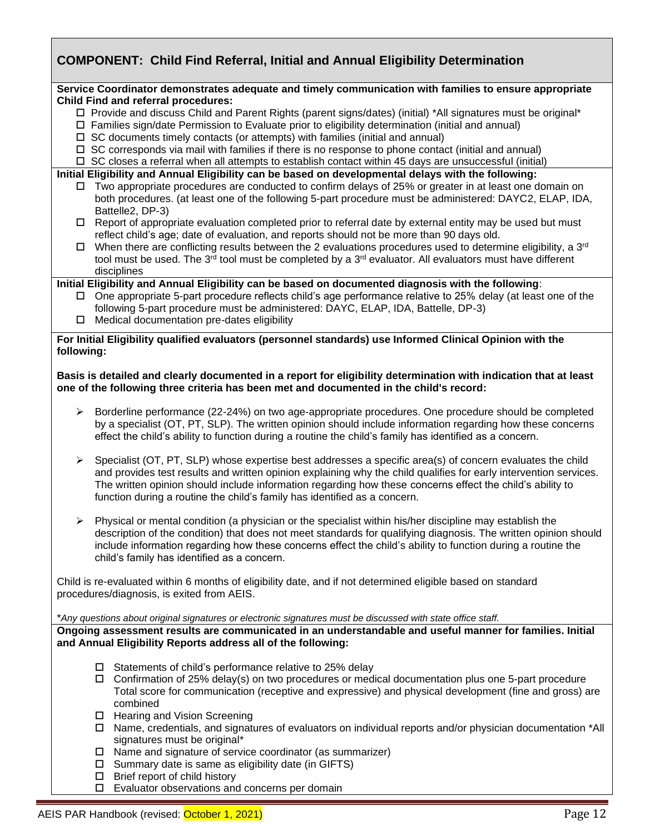# **COMPONENT: Child Find Referral, Initial and Annual Eligibility Determination**

#### **Service Coordinator demonstrates adequate and timely communication with families to ensure appropriate Child Find and referral procedures:**

- Provide and discuss Child and Parent Rights (parent signs/dates) (initial) \*All signatures must be original\*
- $\Box$  Families sign/date Permission to Evaluate prior to eligibility determination (initial and annual)
- $\Box$  SC documents timely contacts (or attempts) with families (initial and annual)
- $\Box$  SC corresponds via mail with families if there is no response to phone contact (initial and annual)

 $\Box$  SC closes a referral when all attempts to establish contact within 45 days are unsuccessful (initial)

#### **Initial Eligibility and Annual Eligibility can be based on developmental delays with the following:**

- $\Box$  Two appropriate procedures are conducted to confirm delays of 25% or greater in at least one domain on both procedures. (at least one of the following 5-part procedure must be administered: DAYC2, ELAP, IDA, Battelle2, DP-3)
- $\Box$  Report of appropriate evaluation completed prior to referral date by external entity may be used but must reflect child's age; date of evaluation, and reports should not be more than 90 days old.
- $\Box$  When there are conflicting results between the 2 evaluations procedures used to determine eligibility, a 3<sup>rd</sup> tool must be used. The 3<sup>rd</sup> tool must be completed by a 3<sup>rd</sup> evaluator. All evaluators must have different disciplines

**Initial Eligibility and Annual Eligibility can be based on documented diagnosis with the following**:

- One appropriate 5-part procedure reflects child's age performance relative to 25% delay (at least one of the following 5-part procedure must be administered: DAYC, ELAP, IDA, Battelle, DP-3)
- $\Box$  Medical documentation pre-dates eligibility

#### **For Initial Eligibility qualified evaluators (personnel standards) use Informed Clinical Opinion with the following:**

#### **Basis is detailed and clearly documented in a report for eligibility determination with indication that at least one of the following three criteria has been met and documented in the child's record:**

- ➢ Borderline performance (22-24%) on two age-appropriate procedures. One procedure should be completed by a specialist (OT, PT, SLP). The written opinion should include information regarding how these concerns effect the child's ability to function during a routine the child's family has identified as a concern.
- ➢ Specialist (OT, PT, SLP) whose expertise best addresses a specific area(s) of concern evaluates the child and provides test results and written opinion explaining why the child qualifies for early intervention services. The written opinion should include information regarding how these concerns effect the child's ability to function during a routine the child's family has identified as a concern.
- $\triangleright$  Physical or mental condition (a physician or the specialist within his/her discipline may establish the description of the condition) that does not meet standards for qualifying diagnosis. The written opinion should include information regarding how these concerns effect the child's ability to function during a routine the child's family has identified as a concern.

➢ Child is re-evaluated within 6 months of eligibility date, and if not determined eligible based on standard procedures/diagnosis, is exited from AEIS.

#### \**Any questions about original signatures or electronic signatures must be discussed with state office staff.*

**Ongoing assessment results are communicated in an understandable and useful manner for families. Initial and Annual Eligibility Reports address all of the following:**

- $\square$  Statements of child's performance relative to 25% delay
- $\Box$  Confirmation of 25% delay(s) on two procedures or medical documentation plus one 5-part procedure Total score for communication (receptive and expressive) and physical development (fine and gross) are combined
- □ Hearing and Vision Screening
- $\Box$  Name, credentials, and signatures of evaluators on individual reports and/or physician documentation \*All signatures must be original\*
- $\Box$  Name and signature of service coordinator (as summarizer)
- $\square$  Summary date is same as eligibility date (in GIFTS)
- $\square$  Brief report of child history
- Evaluator observations and concerns per domain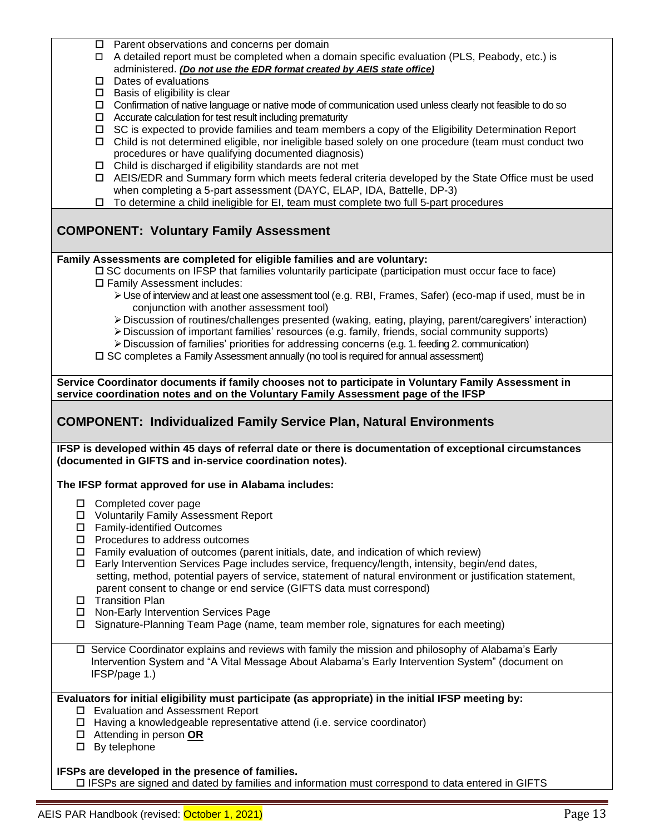| ப<br>□  <br>$\Box$<br>$\Box$<br>$\Box$<br>$\Box$<br>$\Box$ | <b>COMPONENT: Individualized Family Service Plan, Natural Environments</b><br>IFSP is developed within 45 days of referral date or there is documentation of exceptional circumstances<br>(documented in GIFTS and in-service coordination notes).<br>The IFSP format approved for use in Alabama includes:<br>□ Completed cover page<br><b>Voluntarily Family Assessment Report</b><br><b>Family-identified Outcomes</b><br>Procedures to address outcomes<br>Family evaluation of outcomes (parent initials, date, and indication of which review)<br>Early Intervention Services Page includes service, frequency/length, intensity, begin/end dates,<br>setting, method, potential payers of service, statement of natural environment or justification statement,<br>parent consent to change or end service (GIFTS data must correspond)<br><b>Transition Plan</b><br>Non-Early Intervention Services Page<br>Signature-Planning Team Page (name, team member role, signatures for each meeting)<br>□ Service Coordinator explains and reviews with family the mission and philosophy of Alabama's Early |
|------------------------------------------------------------|----------------------------------------------------------------------------------------------------------------------------------------------------------------------------------------------------------------------------------------------------------------------------------------------------------------------------------------------------------------------------------------------------------------------------------------------------------------------------------------------------------------------------------------------------------------------------------------------------------------------------------------------------------------------------------------------------------------------------------------------------------------------------------------------------------------------------------------------------------------------------------------------------------------------------------------------------------------------------------------------------------------------------------------------------------------------------------------------------------------|
|                                                            |                                                                                                                                                                                                                                                                                                                                                                                                                                                                                                                                                                                                                                                                                                                                                                                                                                                                                                                                                                                                                                                                                                                |
|                                                            |                                                                                                                                                                                                                                                                                                                                                                                                                                                                                                                                                                                                                                                                                                                                                                                                                                                                                                                                                                                                                                                                                                                |
|                                                            |                                                                                                                                                                                                                                                                                                                                                                                                                                                                                                                                                                                                                                                                                                                                                                                                                                                                                                                                                                                                                                                                                                                |
|                                                            |                                                                                                                                                                                                                                                                                                                                                                                                                                                                                                                                                                                                                                                                                                                                                                                                                                                                                                                                                                                                                                                                                                                |
|                                                            |                                                                                                                                                                                                                                                                                                                                                                                                                                                                                                                                                                                                                                                                                                                                                                                                                                                                                                                                                                                                                                                                                                                |
|                                                            |                                                                                                                                                                                                                                                                                                                                                                                                                                                                                                                                                                                                                                                                                                                                                                                                                                                                                                                                                                                                                                                                                                                |
|                                                            |                                                                                                                                                                                                                                                                                                                                                                                                                                                                                                                                                                                                                                                                                                                                                                                                                                                                                                                                                                                                                                                                                                                |
|                                                            |                                                                                                                                                                                                                                                                                                                                                                                                                                                                                                                                                                                                                                                                                                                                                                                                                                                                                                                                                                                                                                                                                                                |
|                                                            |                                                                                                                                                                                                                                                                                                                                                                                                                                                                                                                                                                                                                                                                                                                                                                                                                                                                                                                                                                                                                                                                                                                |
|                                                            |                                                                                                                                                                                                                                                                                                                                                                                                                                                                                                                                                                                                                                                                                                                                                                                                                                                                                                                                                                                                                                                                                                                |
|                                                            |                                                                                                                                                                                                                                                                                                                                                                                                                                                                                                                                                                                                                                                                                                                                                                                                                                                                                                                                                                                                                                                                                                                |
|                                                            |                                                                                                                                                                                                                                                                                                                                                                                                                                                                                                                                                                                                                                                                                                                                                                                                                                                                                                                                                                                                                                                                                                                |
|                                                            |                                                                                                                                                                                                                                                                                                                                                                                                                                                                                                                                                                                                                                                                                                                                                                                                                                                                                                                                                                                                                                                                                                                |
|                                                            |                                                                                                                                                                                                                                                                                                                                                                                                                                                                                                                                                                                                                                                                                                                                                                                                                                                                                                                                                                                                                                                                                                                |
|                                                            |                                                                                                                                                                                                                                                                                                                                                                                                                                                                                                                                                                                                                                                                                                                                                                                                                                                                                                                                                                                                                                                                                                                |
|                                                            | service coordination notes and on the Voluntary Family Assessment page of the IFSP                                                                                                                                                                                                                                                                                                                                                                                                                                                                                                                                                                                                                                                                                                                                                                                                                                                                                                                                                                                                                             |
|                                                            | Service Coordinator documents if family chooses not to participate in Voluntary Family Assessment in                                                                                                                                                                                                                                                                                                                                                                                                                                                                                                                                                                                                                                                                                                                                                                                                                                                                                                                                                                                                           |
|                                                            |                                                                                                                                                                                                                                                                                                                                                                                                                                                                                                                                                                                                                                                                                                                                                                                                                                                                                                                                                                                                                                                                                                                |
|                                                            | $\Box$ SC completes a Family Assessment annually (no tool is required for annual assessment)                                                                                                                                                                                                                                                                                                                                                                                                                                                                                                                                                                                                                                                                                                                                                                                                                                                                                                                                                                                                                   |
|                                                            | > Discussion of important families' resources (e.g. family, friends, social community supports)<br>> Discussion of families' priorities for addressing concerns (e.g. 1. feeding 2. communication)                                                                                                                                                                                                                                                                                                                                                                                                                                                                                                                                                                                                                                                                                                                                                                                                                                                                                                             |
|                                                            | > Discussion of routines/challenges presented (waking, eating, playing, parent/caregivers' interaction)                                                                                                                                                                                                                                                                                                                                                                                                                                                                                                                                                                                                                                                                                                                                                                                                                                                                                                                                                                                                        |
|                                                            | conjunction with another assessment tool)                                                                                                                                                                                                                                                                                                                                                                                                                                                                                                                                                                                                                                                                                                                                                                                                                                                                                                                                                                                                                                                                      |
|                                                            | > Use of interview and at least one assessment tool (e.g. RBI, Frames, Safer) (eco-map if used, must be in                                                                                                                                                                                                                                                                                                                                                                                                                                                                                                                                                                                                                                                                                                                                                                                                                                                                                                                                                                                                     |
|                                                            | □ Family Assessment includes:                                                                                                                                                                                                                                                                                                                                                                                                                                                                                                                                                                                                                                                                                                                                                                                                                                                                                                                                                                                                                                                                                  |
|                                                            | Family Assessments are completed for eligible families and are voluntary:<br>□ SC documents on IFSP that families voluntarily participate (participation must occur face to face)                                                                                                                                                                                                                                                                                                                                                                                                                                                                                                                                                                                                                                                                                                                                                                                                                                                                                                                              |
|                                                            |                                                                                                                                                                                                                                                                                                                                                                                                                                                                                                                                                                                                                                                                                                                                                                                                                                                                                                                                                                                                                                                                                                                |
|                                                            | <b>COMPONENT: Voluntary Family Assessment</b>                                                                                                                                                                                                                                                                                                                                                                                                                                                                                                                                                                                                                                                                                                                                                                                                                                                                                                                                                                                                                                                                  |
|                                                            |                                                                                                                                                                                                                                                                                                                                                                                                                                                                                                                                                                                                                                                                                                                                                                                                                                                                                                                                                                                                                                                                                                                |
| $\Box$                                                     | To determine a child ineligible for EI, team must complete two full 5-part procedures                                                                                                                                                                                                                                                                                                                                                                                                                                                                                                                                                                                                                                                                                                                                                                                                                                                                                                                                                                                                                          |
|                                                            | AEIS/EDR and Summary form which meets federal criteria developed by the State Office must be used<br>when completing a 5-part assessment (DAYC, ELAP, IDA, Battelle, DP-3)                                                                                                                                                                                                                                                                                                                                                                                                                                                                                                                                                                                                                                                                                                                                                                                                                                                                                                                                     |
|                                                            | $\Box$ Child is discharged if eligibility standards are not met                                                                                                                                                                                                                                                                                                                                                                                                                                                                                                                                                                                                                                                                                                                                                                                                                                                                                                                                                                                                                                                |
|                                                            | procedures or have qualifying documented diagnosis)                                                                                                                                                                                                                                                                                                                                                                                                                                                                                                                                                                                                                                                                                                                                                                                                                                                                                                                                                                                                                                                            |
| $\Box$                                                     | Child is not determined eligible, nor ineligible based solely on one procedure (team must conduct two                                                                                                                                                                                                                                                                                                                                                                                                                                                                                                                                                                                                                                                                                                                                                                                                                                                                                                                                                                                                          |
|                                                            | $\Box$ Accurate calculation for test result including prematurity<br>SC is expected to provide families and team members a copy of the Eligibility Determination Report                                                                                                                                                                                                                                                                                                                                                                                                                                                                                                                                                                                                                                                                                                                                                                                                                                                                                                                                        |
|                                                            | □ Confirmation of native language or native mode of communication used unless clearly not feasible to do so                                                                                                                                                                                                                                                                                                                                                                                                                                                                                                                                                                                                                                                                                                                                                                                                                                                                                                                                                                                                    |
|                                                            | $\Box$ Basis of eligibility is clear                                                                                                                                                                                                                                                                                                                                                                                                                                                                                                                                                                                                                                                                                                                                                                                                                                                                                                                                                                                                                                                                           |
|                                                            | $\square$ Dates of evaluations                                                                                                                                                                                                                                                                                                                                                                                                                                                                                                                                                                                                                                                                                                                                                                                                                                                                                                                                                                                                                                                                                 |
|                                                            | administered. (Do not use the EDR format created by AEIS state office)                                                                                                                                                                                                                                                                                                                                                                                                                                                                                                                                                                                                                                                                                                                                                                                                                                                                                                                                                                                                                                         |
|                                                            | □ A detailed report must be completed when a domain specific evaluation (PLS, Peabody, etc.) is                                                                                                                                                                                                                                                                                                                                                                                                                                                                                                                                                                                                                                                                                                                                                                                                                                                                                                                                                                                                                |
|                                                            | $\Box$ Parent observations and concerns per domain                                                                                                                                                                                                                                                                                                                                                                                                                                                                                                                                                                                                                                                                                                                                                                                                                                                                                                                                                                                                                                                             |

IFSPs are signed and dated by families and information must correspond to data entered in GIFTS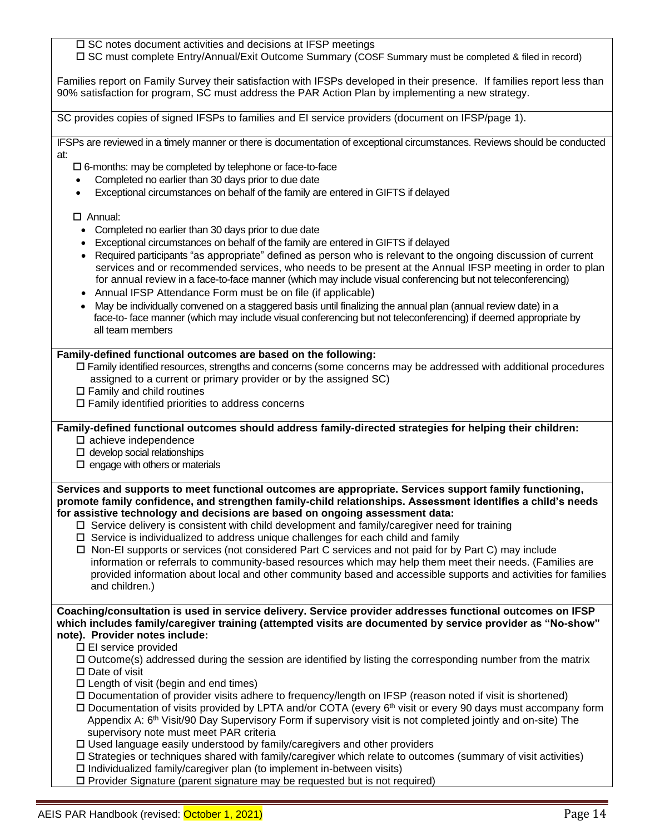$\square$  SC notes document activities and decisions at IFSP meetings SC must complete Entry/Annual/Exit Outcome Summary (COSF Summary must be completed & filed in record) Families report on Family Survey their satisfaction with IFSPs developed in their presence. If families report less than 90% satisfaction for program, SC must address the PAR Action Plan by implementing a new strategy. SC provides copies of signed IFSPs to families and EI service providers (document on IFSP/page 1). IFSPs are reviewed in a timely manner or there is documentation of exceptional circumstances. Reviews should be conducted at: 6-months: may be completed by telephone or face-to-face • Completed no earlier than 30 days prior to due date • Exceptional circumstances on behalf of the family are entered in GIFTS if delayed Annual: • Completed no earlier than 30 days prior to due date • Exceptional circumstances on behalf of the family are entered in GIFTS if delayed • Required participants "as appropriate" defined as person who is relevant to the ongoing discussion of current services and or recommended services, who needs to be present at the Annual IFSP meeting in order to plan for annual review in a face-to-face manner (which may include visual conferencing but not teleconferencing) • Annual IFSP Attendance Form must be on file (if applicable) • May be individually convened on a staggered basis until finalizing the annual plan (annual review date) in a face-to- face manner (which may include visual conferencing but not teleconferencing) if deemed appropriate by all team members **Family-defined functional outcomes are based on the following:** Family identified resources, strengths and concerns (some concerns may be addressed with additional procedures assigned to a current or primary provider or by the assigned SC)  $\square$  Family and child routines  $\Box$  Family identified priorities to address concerns **Family-defined functional outcomes should address family-directed strategies for helping their children:**  □ achieve independence  $\square$  develop social relationships  $\square$  engage with others or materials **Services and supports to meet functional outcomes are appropriate. Services support family functioning, promote family confidence, and strengthen family-child relationships. Assessment identifies a child's needs for assistive technology and decisions are based on ongoing assessment data:**  $\Box$  Service delivery is consistent with child development and family/caregiver need for training  $\Box$  Service is individualized to address unique challenges for each child and family  $\Box$  Non-EI supports or services (not considered Part C services and not paid for by Part C) may include information or referrals to community-based resources which may help them meet their needs. (Families are provided information about local and other community based and accessible supports and activities for families and children.) **Coaching/consultation is used in service delivery. Service provider addresses functional outcomes on IFSP which includes family/caregiver training (attempted visits are documented by service provider as "No-show" note). Provider notes include:** EI service provided  $\Box$  Outcome(s) addressed during the session are identified by listing the corresponding number from the matrix  $\square$  Date of visit  $\square$  Length of visit (begin and end times) Documentation of provider visits adhere to frequency/length on IFSP (reason noted if visit is shortened) □ Documentation of visits provided by LPTA and/or COTA (every 6<sup>th</sup> visit or every 90 days must accompany form Appendix A: 6th Visit/90 Day Supervisory Form if supervisory visit is not completed jointly and on-site) The supervisory note must meet PAR criteria  $\Box$  Used language easily understood by family/caregivers and other providers Strategies or techniques shared with family/caregiver which relate to outcomes (summary of visit activities)  $\square$  Individualized family/caregiver plan (to implement in-between visits)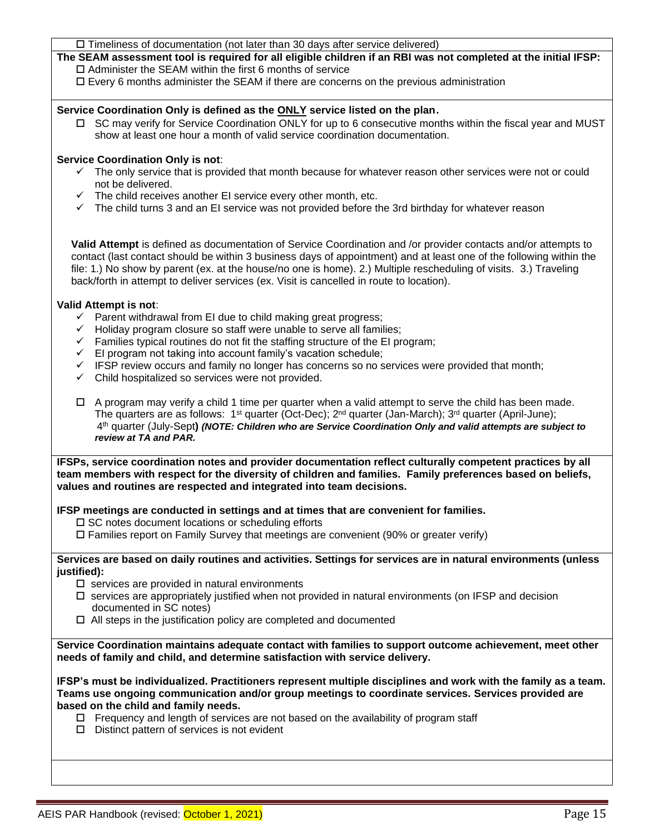**The SEAM assessment tool is required for all eligible children if an RBI was not completed at the initial IFSP:**  $\square$  Administer the SEAM within the first 6 months of service

 $\Box$  Every 6 months administer the SEAM if there are concerns on the previous administration

#### **Service Coordination Only is defined as the ONLY service listed on the plan**.

 SC may verify for Service Coordination ONLY for up to 6 consecutive months within the fiscal year and MUST show at least one hour a month of valid service coordination documentation.

#### **Service Coordination Only is not**:

- ✓ The only service that is provided that month because for whatever reason other services were not or could not be delivered.
- $\checkmark$  The child receives another EI service every other month, etc.
- ✓ The child turns 3 and an EI service was not provided before the 3rd birthday for whatever reason

**Valid Attempt** is defined as documentation of Service Coordination and /or provider contacts and/or attempts to contact (last contact should be within 3 business days of appointment) and at least one of the following within the file: 1.) No show by parent (ex. at the house/no one is home). 2.) Multiple rescheduling of visits. 3.) Traveling back/forth in attempt to deliver services (ex. Visit is cancelled in route to location).

#### **Valid Attempt is not**:

- ✓ Parent withdrawal from EI due to child making great progress;
- ✓ Holiday program closure so staff were unable to serve all families;
- $\checkmark$  Families typical routines do not fit the staffing structure of the EI program;
- $\checkmark$  EI program not taking into account family's vacation schedule;
- $\checkmark$  IFSP review occurs and family no longer has concerns so no services were provided that month;
- ✓ Child hospitalized so services were not provided.
- $\Box$  A program may verify a child 1 time per quarter when a valid attempt to serve the child has been made. The quarters are as follows:  $1^{st}$  quarter (Oct-Dec);  $2^{nd}$  quarter (Jan-March);  $3^{rd}$  quarter (April-June); 4 th quarter (July-Sept**)** *(NOTE: Children who are Service Coordination Only and valid attempts are subject to review at TA and PAR.*

**IFSPs, service coordination notes and provider documentation reflect culturally competent practices by all team members with respect for the diversity of children and families. Family preferences based on beliefs, values and routines are respected and integrated into team decisions.** 

#### **IFSP meetings are conducted in settings and at times that are convenient for families.**

 $\square$  SC notes document locations or scheduling efforts

 $\Box$  Families report on Family Survey that meetings are convenient (90% or greater verify)

**Services are based on daily routines and activities. Settings for services are in natural environments (unless justified):** 

- $\square$  services are provided in natural environments
- $\Box$  services are appropriately justified when not provided in natural environments (on IFSP and decision documented in SC notes)
- $\Box$  All steps in the justification policy are completed and documented

**Service Coordination maintains adequate contact with families to support outcome achievement, meet other needs of family and child, and determine satisfaction with service delivery.** 

**IFSP's must be individualized. Practitioners represent multiple disciplines and work with the family as a team. Teams use ongoing communication and/or group meetings to coordinate services. Services provided are based on the child and family needs.**

- $\Box$  Frequency and length of services are not based on the availability of program staff
- $\square$  Distinct pattern of services is not evident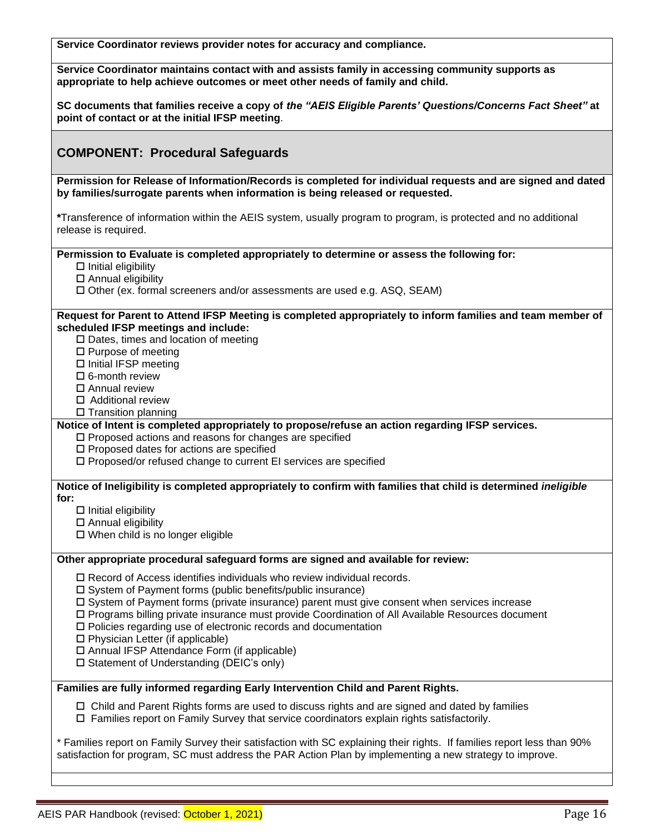**Service Coordinator reviews provider notes for accuracy and compliance.**

**Service Coordinator maintains contact with and assists family in accessing community supports as appropriate to help achieve outcomes or meet other needs of family and child.** 

**SC documents that families receive a copy of** *the "AEIS Eligible Parents' Questions/Concerns Fact Sheet"* **at point of contact or at the initial IFSP meeting**.

### **COMPONENT: Procedural Safeguards**

**Permission for Release of Information/Records is completed for individual requests and are signed and dated by families/surrogate parents when information is being released or requested.** 

**\***Transference of information within the AEIS system, usually program to program, is protected and no additional release is required.

**Permission to Evaluate is completed appropriately to determine or assess the following for:**

- $\square$  Initial eligibility
- $\square$  Annual eligibility

Other (ex. formal screeners and/or assessments are used e.g. ASQ, SEAM)

#### **Request for Parent to Attend IFSP Meeting is completed appropriately to inform families and team member of scheduled IFSP meetings and include:**

 $\square$  Dates, times and location of meeting

□ Purpose of meeting

 $\square$  Initial IFSP meeting

 $\square$  6-month review

Annual review

Additional review

□ Transition planning

**Notice of Intent is completed appropriately to propose/refuse an action regarding IFSP services.**

 $\square$  Proposed actions and reasons for changes are specified

 $\square$  Proposed dates for actions are specified

□ Proposed/or refused change to current EI services are specified

**Notice of Ineligibility is completed appropriately to confirm with families that child is determined** *ineligible*  **for:**

 $\square$  Initial eligibility

□ Annual eligibility

 $\Box$  When child is no longer eligible

#### **Other appropriate procedural safeguard forms are signed and available for review:**

 $\Box$  Record of Access identifies individuals who review individual records.

 $\square$  System of Payment forms (public benefits/public insurance)

 $\Box$  System of Payment forms (private insurance) parent must give consent when services increase

Programs billing private insurance must provide Coordination of All Available Resources document

Policies regarding use of electronic records and documentation

 $\square$  Physician Letter (if applicable)

□ Annual IFSP Attendance Form (if applicable)

 $\square$  Statement of Understanding (DEIC's only)

**Families are fully informed regarding Early Intervention Child and Parent Rights.**

 $\Box$  Child and Parent Rights forms are used to discuss rights and are signed and dated by families  $\Box$  Families report on Family Survey that service coordinators explain rights satisfactorily.

\* Families report on Family Survey their satisfaction with SC explaining their rights. If families report less than 90% satisfaction for program, SC must address the PAR Action Plan by implementing a new strategy to improve.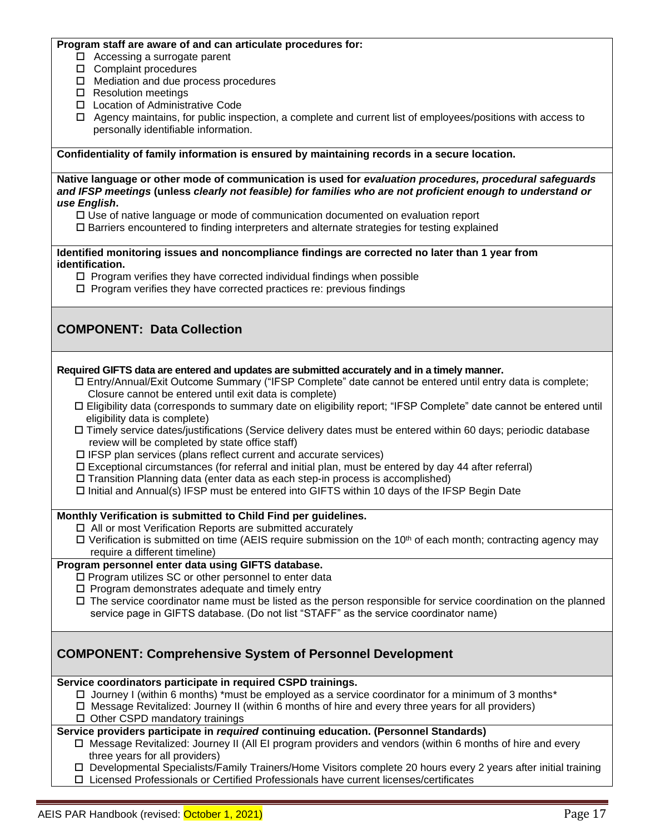#### **Program staff are aware of and can articulate procedures for:**

- $\Box$  Accessing a surrogate parent
- □ Complaint procedures
- $\Box$  Mediation and due process procedures
- □ Resolution meetings
- □ Location of Administrative Code
- $\Box$  Agency maintains, for public inspection, a complete and current list of employees/positions with access to personally identifiable information.

**Confidentiality of family information is ensured by maintaining records in a secure location.**

**Native language or other mode of communication is used for** *evaluation procedures, procedural safeguards and IFSP meetings* **(unless** *clearly not feasible) for families who are not proficient enough to understand or use English***.**

- $\Box$  Use of native language or mode of communication documented on evaluation report
- Barriers encountered to finding interpreters and alternate strategies for testing explained

**Identified monitoring issues and noncompliance findings are corrected no later than 1 year from identification.**

- $\Box$  Program verifies they have corrected individual findings when possible
- $\square$  Program verifies they have corrected practices re: previous findings

# **COMPONENT: Data Collection**

#### **Required GIFTS data are entered and updates are submitted accurately and in a timely manner.**

- Entry/Annual/Exit Outcome Summary ("IFSP Complete" date cannot be entered until entry data is complete; Closure cannot be entered until exit data is complete)
- Eligibility data (corresponds to summary date on eligibility report; "IFSP Complete" date cannot be entered until eligibility data is complete)
- Timely service dates/justifications (Service delivery dates must be entered within 60 days; periodic database review will be completed by state office staff)
- $\Box$  IFSP plan services (plans reflect current and accurate services)
- $\Box$  Exceptional circumstances (for referral and initial plan, must be entered by day 44 after referral)
- $\Box$  Transition Planning data (enter data as each step-in process is accomplished)
- $\Box$  Initial and Annual(s) IFSP must be entered into GIFTS within 10 days of the IFSP Begin Date

#### **Monthly Verification is submitted to Child Find per guidelines.**

- □ All or most Verification Reports are submitted accurately
- $\Box$  Verification is submitted on time (AEIS require submission on the 10<sup>th</sup> of each month; contracting agency may require a different timeline)

#### **Program personnel enter data using GIFTS database.**

- $\square$  Program utilizes SC or other personnel to enter data
- $\square$  Program demonstrates adequate and timely entry
- $\Box$  The service coordinator name must be listed as the person responsible for service coordination on the planned service page in GIFTS database. (Do not list "STAFF" as the service coordinator name)

### **COMPONENT: Comprehensive System of Personnel Development**

**Service coordinators participate in required CSPD trainings.**

- $\Box$  Journey I (within 6 months) \*must be employed as a service coordinator for a minimum of 3 months\*
- Message Revitalized: Journey II (within 6 months of hire and every three years for all providers)
- $\Box$  Other CSPD mandatory trainings

#### **Service providers participate in** *required* **continuing education. (Personnel Standards)**

- $\Box$  Message Revitalized: Journey II (All EI program providers and vendors (within 6 months of hire and every three years for all providers)
- Developmental Specialists/Family Trainers/Home Visitors complete 20 hours every 2 years after initial training
- Licensed Professionals or Certified Professionals have current licenses/certificates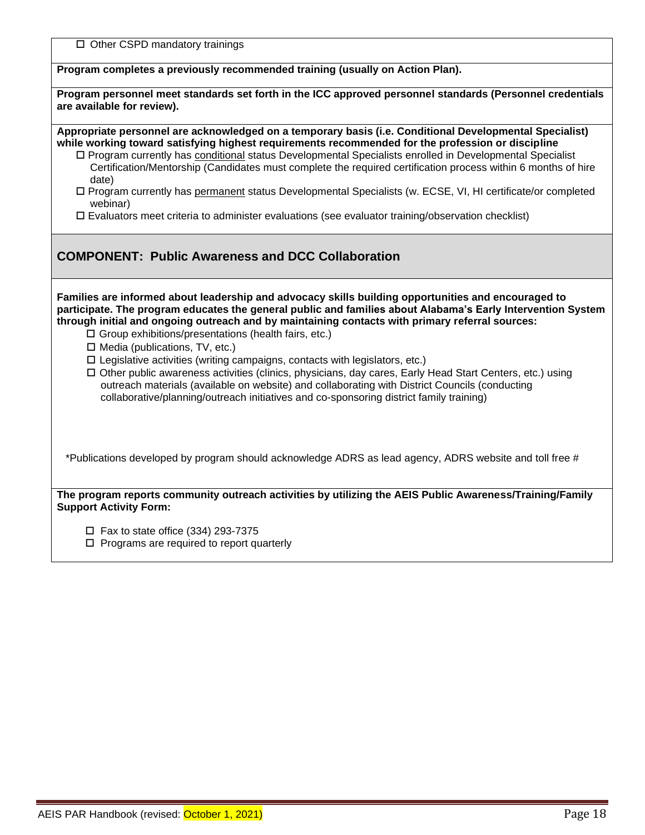| $\Box$ Other CSPD mandatory trainings                                                                                                                                                                                                                                                                                                                                                                                                                                                                                                                                                                                                                                                                                                                                                                                             |
|-----------------------------------------------------------------------------------------------------------------------------------------------------------------------------------------------------------------------------------------------------------------------------------------------------------------------------------------------------------------------------------------------------------------------------------------------------------------------------------------------------------------------------------------------------------------------------------------------------------------------------------------------------------------------------------------------------------------------------------------------------------------------------------------------------------------------------------|
| Program completes a previously recommended training (usually on Action Plan).                                                                                                                                                                                                                                                                                                                                                                                                                                                                                                                                                                                                                                                                                                                                                     |
| Program personnel meet standards set forth in the ICC approved personnel standards (Personnel credentials<br>are available for review).                                                                                                                                                                                                                                                                                                                                                                                                                                                                                                                                                                                                                                                                                           |
| Appropriate personnel are acknowledged on a temporary basis (i.e. Conditional Developmental Specialist)<br>while working toward satisfying highest requirements recommended for the profession or discipline<br>□ Program currently has conditional status Developmental Specialists enrolled in Developmental Specialist<br>Certification/Mentorship (Candidates must complete the required certification process within 6 months of hire<br>date)<br>□ Program currently has permanent status Developmental Specialists (w. ECSE, VI, HI certificate/or completed<br>webinar)<br>$\square$ Evaluators meet criteria to administer evaluations (see evaluator training/observation checklist)                                                                                                                                    |
| <b>COMPONENT: Public Awareness and DCC Collaboration</b>                                                                                                                                                                                                                                                                                                                                                                                                                                                                                                                                                                                                                                                                                                                                                                          |
| Families are informed about leadership and advocacy skills building opportunities and encouraged to<br>participate. The program educates the general public and families about Alabama's Early Intervention System<br>through initial and ongoing outreach and by maintaining contacts with primary referral sources:<br>$\Box$ Group exhibitions/presentations (health fairs, etc.)<br>$\Box$ Media (publications, TV, etc.)<br>$\square$ Legislative activities (writing campaigns, contacts with legislators, etc.)<br>□ Other public awareness activities (clinics, physicians, day cares, Early Head Start Centers, etc.) using<br>outreach materials (available on website) and collaborating with District Councils (conducting<br>collaborative/planning/outreach initiatives and co-sponsoring district family training) |
| *Publications developed by program should acknowledge ADRS as lead agency, ADRS website and toll free #                                                                                                                                                                                                                                                                                                                                                                                                                                                                                                                                                                                                                                                                                                                           |
| The program reports community outreach activities by utilizing the AEIS Public Awareness/Training/Family<br><b>Support Activity Form:</b>                                                                                                                                                                                                                                                                                                                                                                                                                                                                                                                                                                                                                                                                                         |
| $\Box$ Fax to state office (334) 293-7375                                                                                                                                                                                                                                                                                                                                                                                                                                                                                                                                                                                                                                                                                                                                                                                         |

 $\square$  Programs are required to report quarterly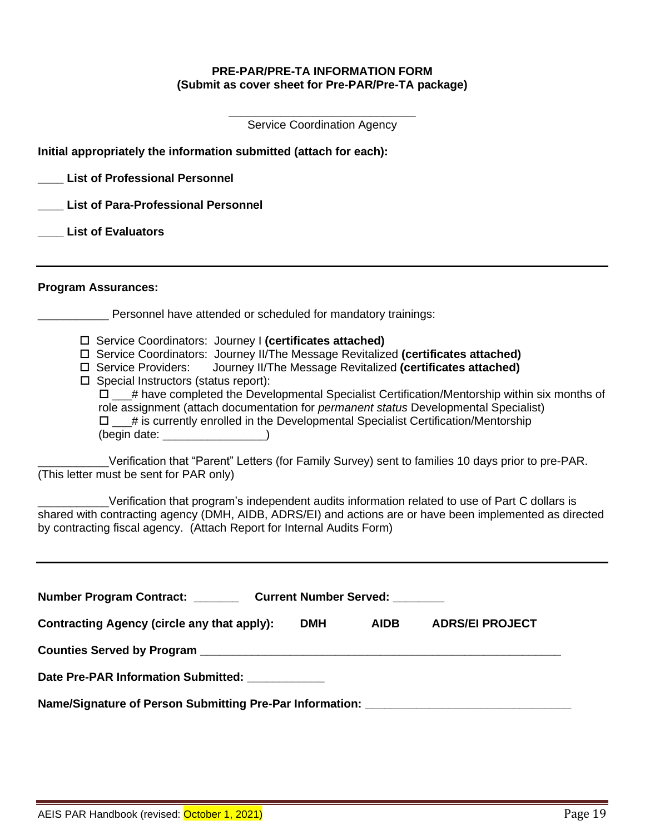#### **PRE-PAR/PRE-TA INFORMATION FORM (Submit as cover sheet for Pre-PAR/Pre-TA package)**

**\_\_\_\_\_\_\_\_\_\_\_\_\_\_\_\_\_\_\_\_\_\_\_\_\_\_\_\_\_** Service Coordination Agency

| Initial appropriately the information submitted (attach for each):                                                                                                                                                                                                                                                                                                                                                                                                                                                                                                                                                                                                                                                                                                                                                                                                                                                                                                                                                                       |
|------------------------------------------------------------------------------------------------------------------------------------------------------------------------------------------------------------------------------------------------------------------------------------------------------------------------------------------------------------------------------------------------------------------------------------------------------------------------------------------------------------------------------------------------------------------------------------------------------------------------------------------------------------------------------------------------------------------------------------------------------------------------------------------------------------------------------------------------------------------------------------------------------------------------------------------------------------------------------------------------------------------------------------------|
| <b>List of Professional Personnel</b>                                                                                                                                                                                                                                                                                                                                                                                                                                                                                                                                                                                                                                                                                                                                                                                                                                                                                                                                                                                                    |
| <b>List of Para-Professional Personnel</b>                                                                                                                                                                                                                                                                                                                                                                                                                                                                                                                                                                                                                                                                                                                                                                                                                                                                                                                                                                                               |
| <b>List of Evaluators</b>                                                                                                                                                                                                                                                                                                                                                                                                                                                                                                                                                                                                                                                                                                                                                                                                                                                                                                                                                                                                                |
| <b>Program Assurances:</b>                                                                                                                                                                                                                                                                                                                                                                                                                                                                                                                                                                                                                                                                                                                                                                                                                                                                                                                                                                                                               |
| Personnel have attended or scheduled for mandatory trainings:                                                                                                                                                                                                                                                                                                                                                                                                                                                                                                                                                                                                                                                                                                                                                                                                                                                                                                                                                                            |
| □ Service Coordinators: Journey I (certificates attached)<br>□ Service Coordinators: Journey II/The Message Revitalized (certificates attached)<br>Journey II/The Message Revitalized (certificates attached)<br>□ Service Providers:<br>$\Box$ Special Instructors (status report):<br>$\Box$ # have completed the Developmental Specialist Certification/Mentorship within six months of<br>role assignment (attach documentation for <i>permanent status</i> Developmental Specialist)<br>$\square$ $\_\!\_\#$ is currently enrolled in the Developmental Specialist Certification/Mentorship<br>Verification that "Parent" Letters (for Family Survey) sent to families 10 days prior to pre-PAR.<br>(This letter must be sent for PAR only)<br>Verification that program's independent audits information related to use of Part C dollars is<br>shared with contracting agency (DMH, AIDB, ADRS/EI) and actions are or have been implemented as directed<br>by contracting fiscal agency. (Attach Report for Internal Audits Form) |
| Number Program Contract: _________ Current Number Served: _____<br>Contracting Agency (circle any that apply):<br><b>DMH</b><br><b>AIDB</b><br><b>ADRS/EI PROJECT</b><br>Date Pre-PAR Information Submitted: ___________<br>Name/Signature of Person Submitting Pre-Par Information: ________________________                                                                                                                                                                                                                                                                                                                                                                                                                                                                                                                                                                                                                                                                                                                            |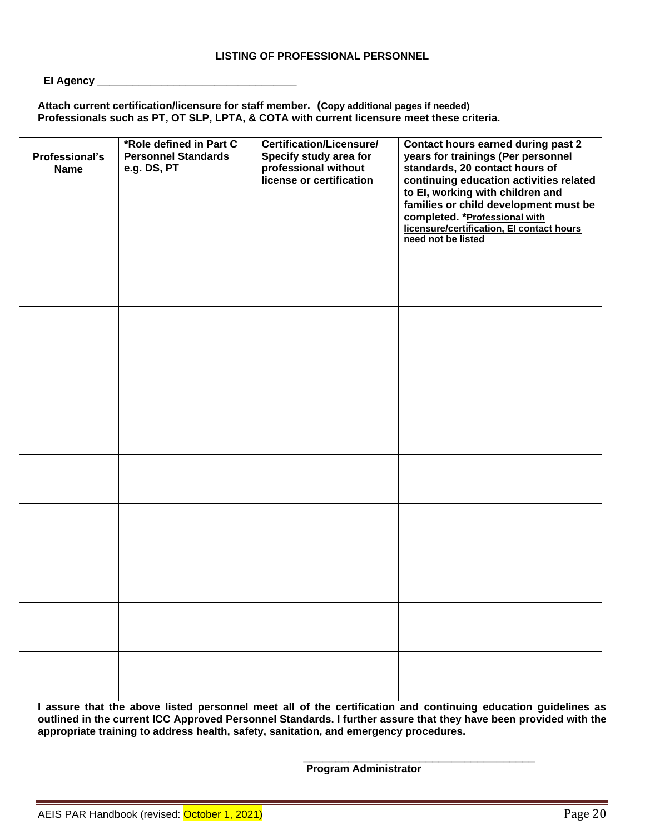#### EI Agency \_\_\_

**Attach current certification/licensure for staff member. (Copy additional pages if needed) Professionals such as PT, OT SLP, LPTA, & COTA with current licensure meet these criteria.**

| Professional's<br><b>Name</b> | *Role defined in Part C<br><b>Personnel Standards</b><br>e.g. DS, PT | <b>Certification/Licensure/</b><br>Specify study area for<br>professional without<br>license or certification | <b>Contact hours earned during past 2</b><br>years for trainings (Per personnel<br>standards, 20 contact hours of<br>continuing education activities related<br>to El, working with children and<br>families or child development must be<br>completed. * Professional with<br>licensure/certification, El contact hours<br>need not be listed |
|-------------------------------|----------------------------------------------------------------------|---------------------------------------------------------------------------------------------------------------|------------------------------------------------------------------------------------------------------------------------------------------------------------------------------------------------------------------------------------------------------------------------------------------------------------------------------------------------|
|                               |                                                                      |                                                                                                               |                                                                                                                                                                                                                                                                                                                                                |
|                               |                                                                      |                                                                                                               |                                                                                                                                                                                                                                                                                                                                                |
|                               |                                                                      |                                                                                                               |                                                                                                                                                                                                                                                                                                                                                |
|                               |                                                                      |                                                                                                               |                                                                                                                                                                                                                                                                                                                                                |
|                               |                                                                      |                                                                                                               |                                                                                                                                                                                                                                                                                                                                                |
|                               |                                                                      |                                                                                                               |                                                                                                                                                                                                                                                                                                                                                |
|                               |                                                                      |                                                                                                               |                                                                                                                                                                                                                                                                                                                                                |
|                               |                                                                      |                                                                                                               |                                                                                                                                                                                                                                                                                                                                                |
|                               |                                                                      |                                                                                                               |                                                                                                                                                                                                                                                                                                                                                |

**I assure that the above listed personnel meet all of the certification and continuing education guidelines as outlined in the current ICC Approved Personnel Standards. I further assure that they have been provided with the appropriate training to address health, safety, sanitation, and emergency procedures.** 

**Program Administrator**

\_\_\_\_\_\_\_\_\_\_\_\_\_\_\_\_\_\_\_\_\_\_\_\_\_\_\_\_\_\_\_\_\_\_\_\_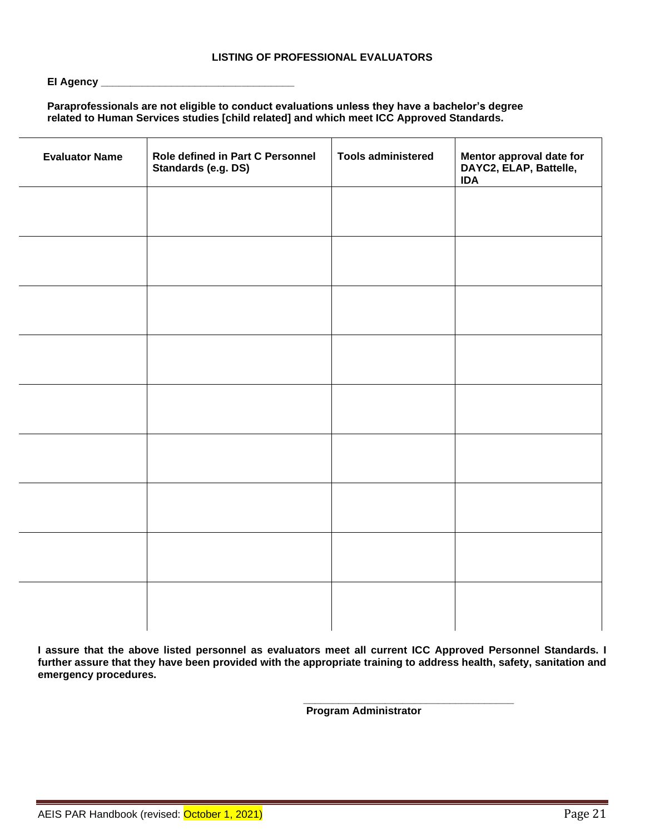#### **EI Agency \_\_\_\_\_\_\_\_\_\_\_\_\_\_\_\_\_\_\_\_\_\_\_\_\_\_\_\_\_\_\_\_\_**

### **Paraprofessionals are not eligible to conduct evaluations unless they have a bachelor's degree related to Human Services studies [child related] and which meet ICC Approved Standards.**

| <b>Evaluator Name</b> | Role defined in Part C Personnel<br>Standards (e.g. DS) | <b>Tools administered</b> | Mentor approval date for<br>DAYC2, ELAP, Battelle,<br><b>IDA</b> |
|-----------------------|---------------------------------------------------------|---------------------------|------------------------------------------------------------------|
|                       |                                                         |                           |                                                                  |
|                       |                                                         |                           |                                                                  |
|                       |                                                         |                           |                                                                  |
|                       |                                                         |                           |                                                                  |
|                       |                                                         |                           |                                                                  |
|                       |                                                         |                           |                                                                  |
|                       |                                                         |                           |                                                                  |
|                       |                                                         |                           |                                                                  |
|                       |                                                         |                           |                                                                  |
|                       |                                                         |                           |                                                                  |

**I assure that the above listed personnel as evaluators meet all current ICC Approved Personnel Standards. I further assure that they have been provided with the appropriate training to address health, safety, sanitation and emergency procedures.** 

**Program Administrator**

**\_\_\_\_\_\_\_\_\_\_\_\_\_\_\_\_\_\_\_\_\_\_\_\_\_\_\_\_\_\_\_\_\_\_\_\_**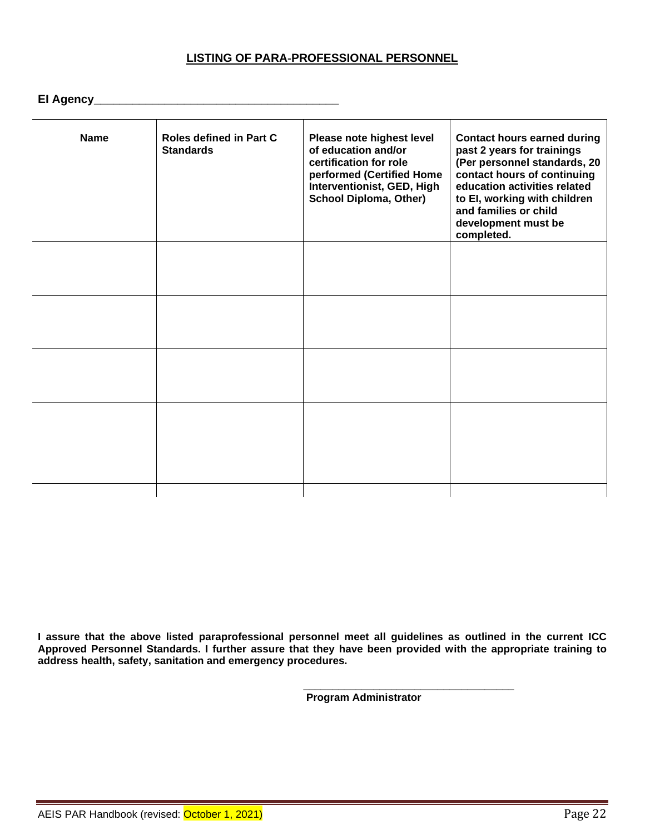### **LISTING OF PARA-PROFESSIONAL PERSONNEL**

# **EI Agency\_\_\_\_\_\_\_\_\_\_\_\_\_\_\_\_\_\_\_\_\_\_\_\_\_\_\_\_\_\_\_\_\_\_\_\_\_\_**

| <b>Name</b> | Roles defined in Part C<br><b>Standards</b> | Please note highest level<br>of education and/or<br>certification for role<br>performed (Certified Home<br>Interventionist, GED, High<br><b>School Diploma, Other)</b> | <b>Contact hours earned during</b><br>past 2 years for trainings<br>(Per personnel standards, 20<br>contact hours of continuing<br>education activities related<br>to El, working with children<br>and families or child<br>development must be<br>completed. |
|-------------|---------------------------------------------|------------------------------------------------------------------------------------------------------------------------------------------------------------------------|---------------------------------------------------------------------------------------------------------------------------------------------------------------------------------------------------------------------------------------------------------------|
|             |                                             |                                                                                                                                                                        |                                                                                                                                                                                                                                                               |
|             |                                             |                                                                                                                                                                        |                                                                                                                                                                                                                                                               |
|             |                                             |                                                                                                                                                                        |                                                                                                                                                                                                                                                               |
|             |                                             |                                                                                                                                                                        |                                                                                                                                                                                                                                                               |
|             |                                             |                                                                                                                                                                        |                                                                                                                                                                                                                                                               |
|             |                                             |                                                                                                                                                                        |                                                                                                                                                                                                                                                               |
|             |                                             |                                                                                                                                                                        |                                                                                                                                                                                                                                                               |
|             |                                             |                                                                                                                                                                        |                                                                                                                                                                                                                                                               |
|             |                                             |                                                                                                                                                                        |                                                                                                                                                                                                                                                               |
|             |                                             |                                                                                                                                                                        |                                                                                                                                                                                                                                                               |
|             |                                             |                                                                                                                                                                        |                                                                                                                                                                                                                                                               |
|             |                                             |                                                                                                                                                                        |                                                                                                                                                                                                                                                               |
|             |                                             |                                                                                                                                                                        |                                                                                                                                                                                                                                                               |
|             |                                             |                                                                                                                                                                        |                                                                                                                                                                                                                                                               |

**I assure that the above listed paraprofessional personnel meet all guidelines as outlined in the current ICC Approved Personnel Standards. I further assure that they have been provided with the appropriate training to address health, safety, sanitation and emergency procedures.** 

> **\_\_\_\_\_\_\_\_\_\_\_\_\_\_\_\_\_\_\_\_\_\_\_\_\_\_\_\_\_\_\_\_\_\_\_\_ Program Administrator**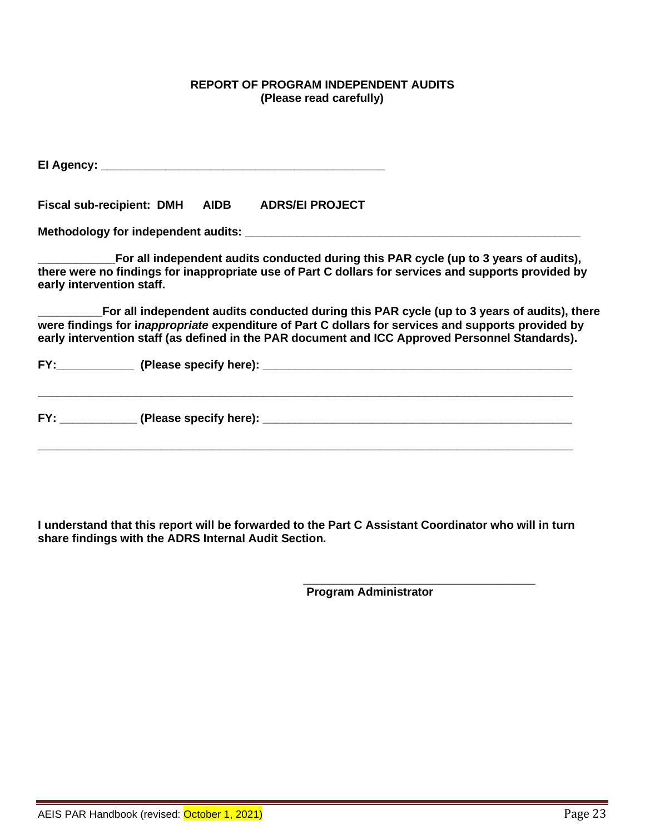### **REPORT OF PROGRAM INDEPENDENT AUDITS (Please read carefully)**

|                           |  | Fiscal sub-recipient: DMH AIDB ADRS/EI PROJECT                                                                                                                                                                                                                                                        |  |
|---------------------------|--|-------------------------------------------------------------------------------------------------------------------------------------------------------------------------------------------------------------------------------------------------------------------------------------------------------|--|
|                           |  |                                                                                                                                                                                                                                                                                                       |  |
| early intervention staff. |  | For all independent audits conducted during this PAR cycle (up to 3 years of audits),<br>there were no findings for inappropriate use of Part C dollars for services and supports provided by                                                                                                         |  |
|                           |  | For all independent audits conducted during this PAR cycle (up to 3 years of audits), there<br>were findings for inappropriate expenditure of Part C dollars for services and supports provided by<br>early intervention staff (as defined in the PAR document and ICC Approved Personnel Standards). |  |
|                           |  |                                                                                                                                                                                                                                                                                                       |  |
|                           |  |                                                                                                                                                                                                                                                                                                       |  |
|                           |  |                                                                                                                                                                                                                                                                                                       |  |

**I understand that this report will be forwarded to the Part C Assistant Coordinator who will in turn share findings with the ADRS Internal Audit Section.** 

**Program Administrator**

\_\_\_\_\_\_\_\_\_\_\_\_\_\_\_\_\_\_\_\_\_\_\_\_\_\_\_\_\_\_\_\_\_\_\_\_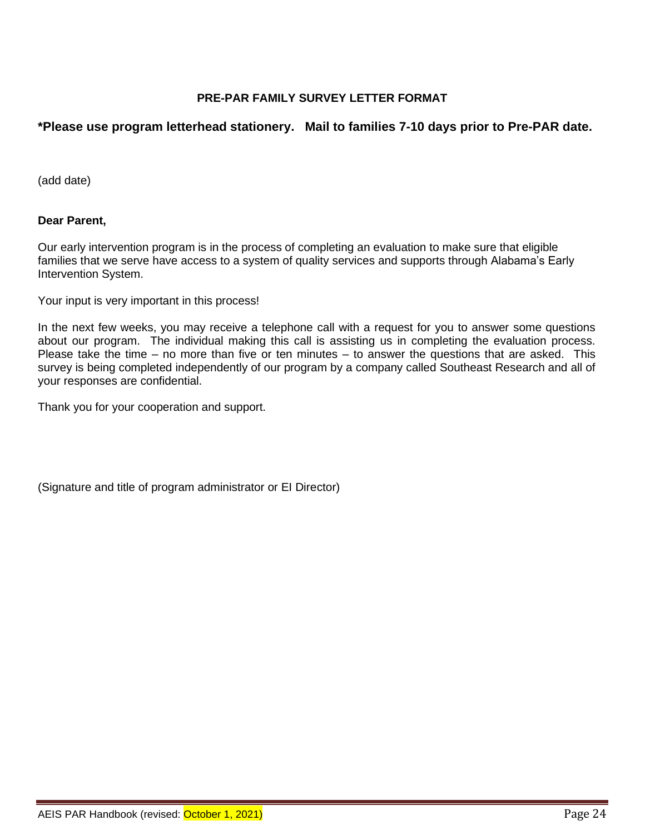### **PRE-PAR FAMILY SURVEY LETTER FORMAT**

### **\*Please use program letterhead stationery. Mail to families 7-10 days prior to Pre-PAR date.**

(add date)

### **Dear Parent,**

Our early intervention program is in the process of completing an evaluation to make sure that eligible families that we serve have access to a system of quality services and supports through Alabama's Early Intervention System.

Your input is very important in this process!

In the next few weeks, you may receive a telephone call with a request for you to answer some questions about our program. The individual making this call is assisting us in completing the evaluation process. Please take the time – no more than five or ten minutes – to answer the questions that are asked. This survey is being completed independently of our program by a company called Southeast Research and all of your responses are confidential.

Thank you for your cooperation and support.

(Signature and title of program administrator or EI Director)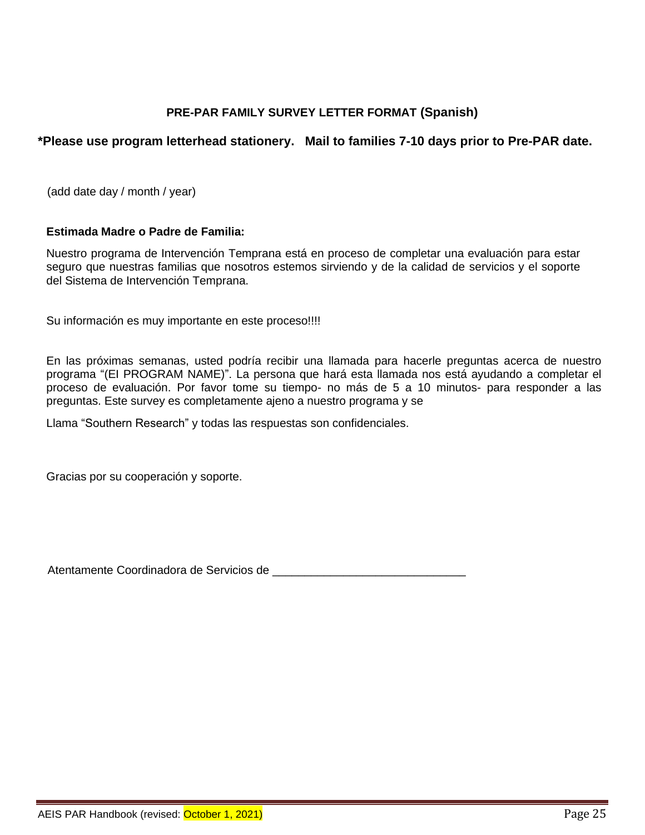### **PRE-PAR FAMILY SURVEY LETTER FORMAT (Spanish)**

### **\*Please use program letterhead stationery. Mail to families 7-10 days prior to Pre-PAR date.**

(add date day / month / year)

#### **Estimada Madre o Padre de Familia:**

Nuestro programa de Intervención Temprana está en proceso de completar una evaluación para estar seguro que nuestras familias que nosotros estemos sirviendo y de la calidad de servicios y el soporte del Sistema de Intervención Temprana.

Su información es muy importante en este proceso!!!!

En las próximas semanas, usted podría recibir una llamada para hacerle preguntas acerca de nuestro programa "(EI PROGRAM NAME)". La persona que hará esta llamada nos está ayudando a completar el proceso de evaluación. Por favor tome su tiempo- no más de 5 a 10 minutos- para responder a las preguntas. Este survey es completamente ajeno a nuestro programa y se

Llama "Southern Research" y todas las respuestas son confidenciales.

Gracias por su cooperación y soporte.

Atentamente Coordinadora de Servicios de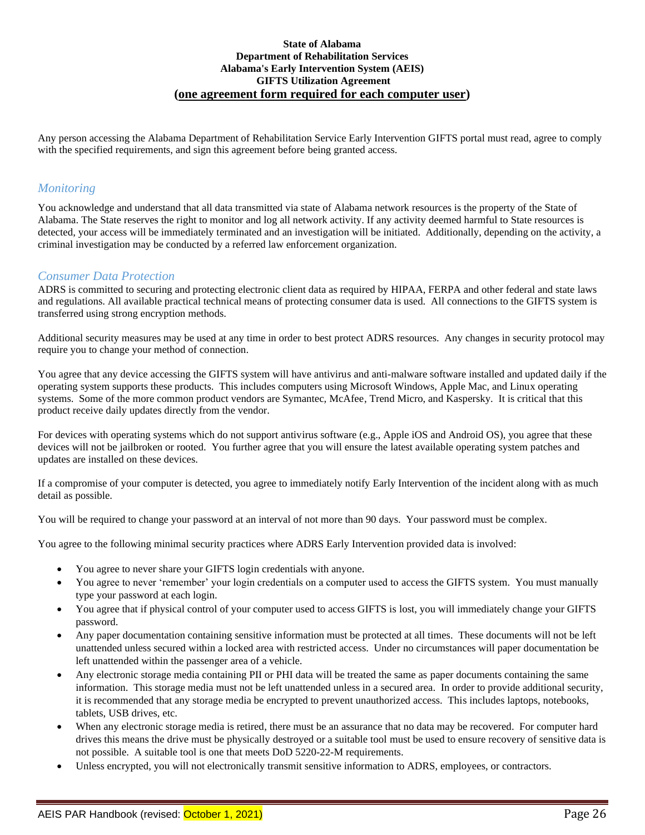#### **State of Alabama Department of Rehabilitation Services Alabama's Early Intervention System (AEIS) GIFTS Utilization Agreement (one agreement form required for each computer user)**

Any person accessing the Alabama Department of Rehabilitation Service Early Intervention GIFTS portal must read, agree to comply with the specified requirements, and sign this agreement before being granted access.

### *Monitoring*

You acknowledge and understand that all data transmitted via state of Alabama network resources is the property of the State of Alabama. The State reserves the right to monitor and log all network activity. If any activity deemed harmful to State resources is detected, your access will be immediately terminated and an investigation will be initiated. Additionally, depending on the activity, a criminal investigation may be conducted by a referred law enforcement organization.

### *Consumer Data Protection*

ADRS is committed to securing and protecting electronic client data as required by HIPAA, FERPA and other federal and state laws and regulations. All available practical technical means of protecting consumer data is used. All connections to the GIFTS system is transferred using strong encryption methods.

Additional security measures may be used at any time in order to best protect ADRS resources. Any changes in security protocol may require you to change your method of connection.

You agree that any device accessing the GIFTS system will have antivirus and anti-malware software installed and updated daily if the operating system supports these products. This includes computers using Microsoft Windows, Apple Mac, and Linux operating systems. Some of the more common product vendors are Symantec, McAfee, Trend Micro, and Kaspersky. It is critical that this product receive daily updates directly from the vendor.

For devices with operating systems which do not support antivirus software (e.g., Apple iOS and Android OS), you agree that these devices will not be jailbroken or rooted. You further agree that you will ensure the latest available operating system patches and updates are installed on these devices.

If a compromise of your computer is detected, you agree to immediately notify Early Intervention of the incident along with as much detail as possible.

You will be required to change your password at an interval of not more than 90 days. Your password must be complex.

You agree to the following minimal security practices where ADRS Early Intervention provided data is involved:

- You agree to never share your GIFTS login credentials with anyone.
- You agree to never 'remember' your login credentials on a computer used to access the GIFTS system. You must manually type your password at each login.
- You agree that if physical control of your computer used to access GIFTS is lost, you will immediately change your GIFTS password.
- Any paper documentation containing sensitive information must be protected at all times. These documents will not be left unattended unless secured within a locked area with restricted access. Under no circumstances will paper documentation be left unattended within the passenger area of a vehicle.
- Any electronic storage media containing PII or PHI data will be treated the same as paper documents containing the same information. This storage media must not be left unattended unless in a secured area. In order to provide additional security, it is recommended that any storage media be encrypted to prevent unauthorized access. This includes laptops, notebooks, tablets, USB drives, etc.
- When any electronic storage media is retired, there must be an assurance that no data may be recovered. For computer hard drives this means the drive must be physically destroyed or a suitable tool must be used to ensure recovery of sensitive data is not possible. A suitable tool is one that meets DoD 5220-22-M requirements.
- Unless encrypted, you will not electronically transmit sensitive information to ADRS, employees, or contractors.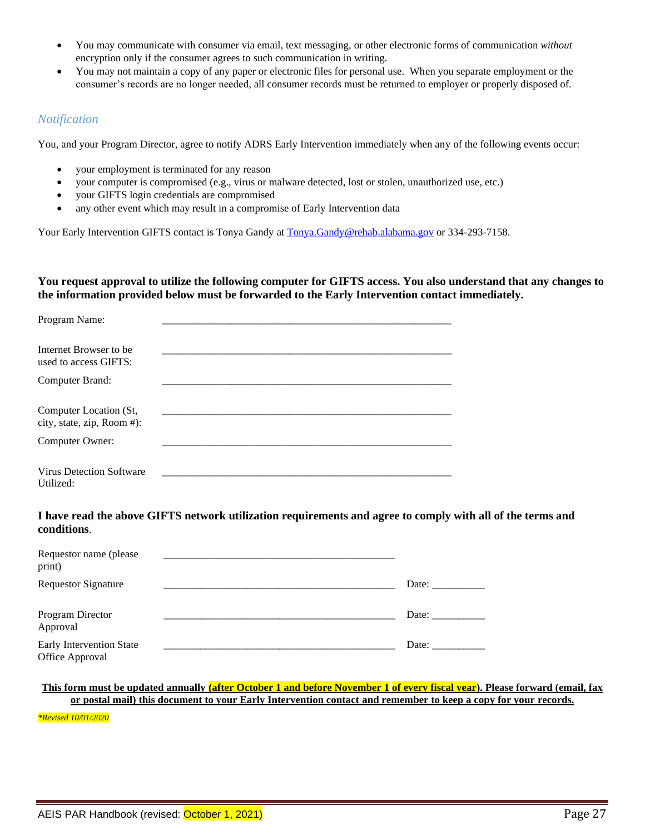- You may communicate with consumer via email, text messaging, or other electronic forms of communication *without* encryption only if the consumer agrees to such communication in writing.
- You may not maintain a copy of any paper or electronic files for personal use. When you separate employment or the consumer's records are no longer needed, all consumer records must be returned to employer or properly disposed of.

#### *Notification*

You, and your Program Director, agree to notify ADRS Early Intervention immediately when any of the following events occur:

- your employment is terminated for any reason
- your computer is compromised (e.g., virus or malware detected, lost or stolen, unauthorized use, etc.)
- your GIFTS login credentials are compromised
- any other event which may result in a compromise of Early Intervention data

Your Early Intervention GIFTS contact is Tonya Gandy a[t Tonya.Gandy@rehab.alabama.gov](mailto:Tonya.Gandy@rehab.alabama.gov) or 334-293-7158.

**You request approval to utilize the following computer for GIFTS access. You also understand that any changes to the information provided below must be forwarded to the Early Intervention contact immediately.**

| Program Name:                                        |  |  |
|------------------------------------------------------|--|--|
| Internet Browser to be.<br>used to access GIFTS:     |  |  |
| Computer Brand:                                      |  |  |
| Computer Location (St,<br>city, state, zip, Room #): |  |  |
| Computer Owner:                                      |  |  |
| <b>Virus Detection Software</b><br>Utilized:         |  |  |

**I have read the above GIFTS network utilization requirements and agree to comply with all of the terms and conditions**.

| Requestor name (please)<br>print)           |                       |
|---------------------------------------------|-----------------------|
| <b>Requestor Signature</b>                  | Date: $\qquad \qquad$ |
| Program Director<br>Approval                | Date:                 |
| Early Intervention State<br>Office Approval | Date:                 |

**This form must be updated annually (after October 1 and before November 1 of every fiscal year). Please forward (email, fax or postal mail) this document to your Early Intervention contact and remember to keep a copy for your records.**

*\*Revised 10/01/2020*